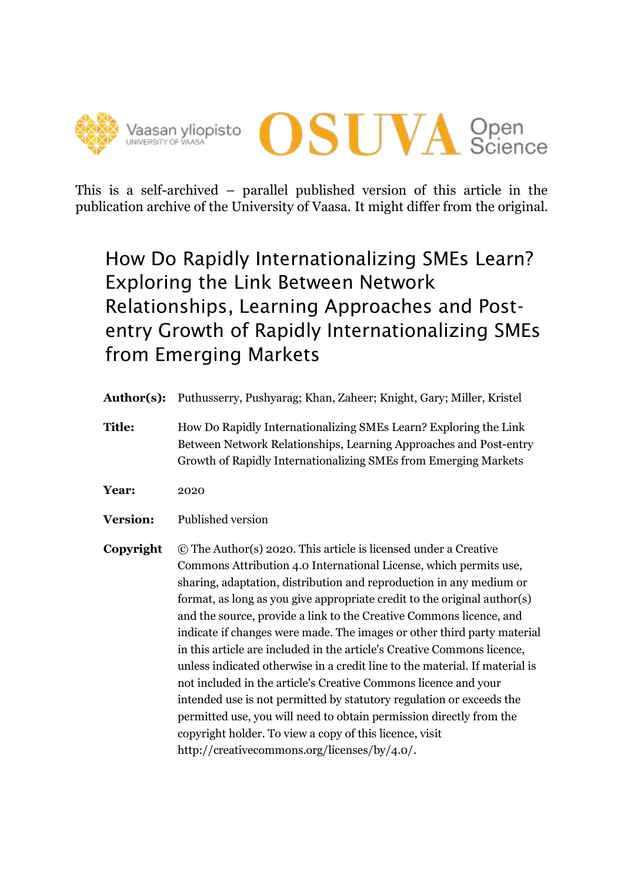



This is a self-archived – parallel published version of this article in the publication archive of the University of Vaasa. It might differ from the original.

# How Do Rapidly Internationalizing SMEs Learn? Exploring the Link Between Network Relationships, Learning Approaches and Postentry Growth of Rapidly Internationalizing SMEs from Emerging Markets

- **Author(s):** Puthusserry, Pushyarag; Khan, Zaheer; Knight, Gary; Miller, Kristel
- **Title:** How Do Rapidly Internationalizing SMEs Learn? Exploring the Link Between Network Relationships, Learning Approaches and Post-entry Growth of Rapidly Internationalizing SMEs from Emerging Markets
- **Year:** 2020
- **Version:** Published version
- **Copyright** © The Author(s) 2020. This article is licensed under a Creative Commons Attribution 4.0 International License, which permits use, sharing, adaptation, distribution and reproduction in any medium or format, as long as you give appropriate credit to the original author(s) and the source, provide a link to the Creative Commons licence, and indicate if changes were made. The images or other third party material in this article are included in the article's Creative Commons licence, unless indicated otherwise in a credit line to the material. If material is not included in the article's Creative Commons licence and your intended use is not permitted by statutory regulation or exceeds the permitted use, you will need to obtain permission directly from the copyright holder. To view a copy of this licence, visit [http://creativecommons.org/licenses/by/4.0/.](http://creativecommons.org/licenses/by/4.0/)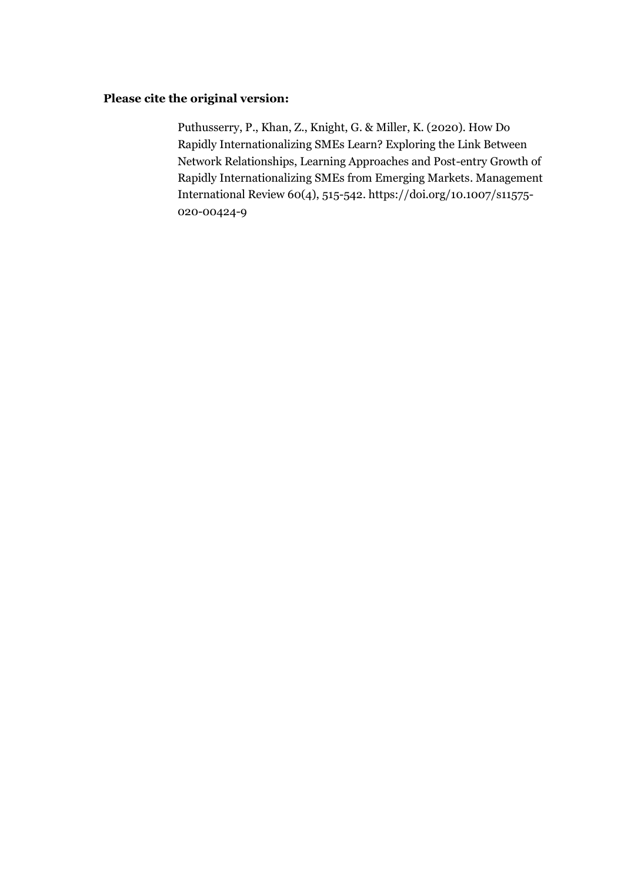## **Please cite the original version:**

Puthusserry, P., Khan, Z., Knight, G. & Miller, K. (2020). How Do Rapidly Internationalizing SMEs Learn? Exploring the Link Between Network Relationships, Learning Approaches and Post-entry Growth of Rapidly Internationalizing SMEs from Emerging Markets. Management International Review 60(4), 515-542. [https://doi.org/10.1007/s11575-](https://doi.org/10.1007/s11575-020-00424-9) [020-00424-9](https://doi.org/10.1007/s11575-020-00424-9)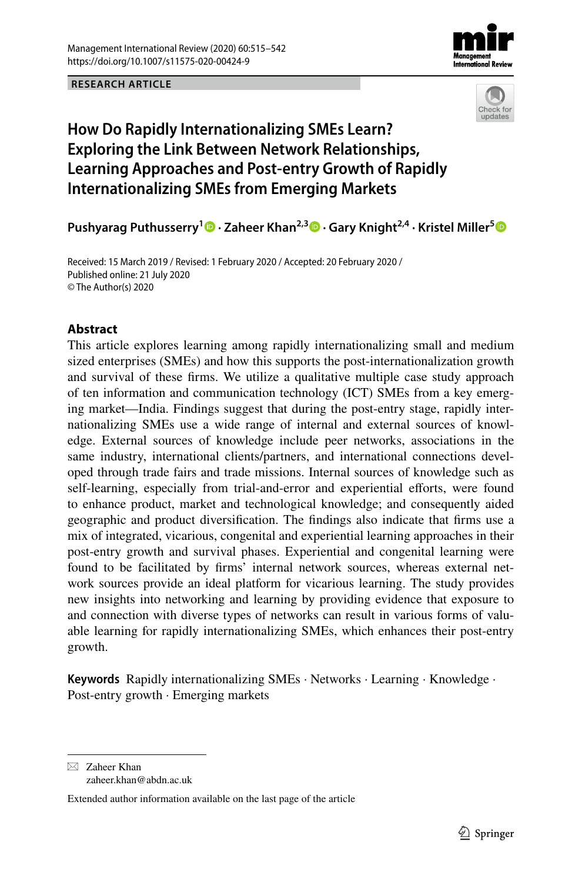





# **How Do Rapidly Internationalizing SMEs Learn? Exploring the Link Between Network Relationships, Learning Approaches and Post‑entry Growth of Rapidly Internationalizing SMEs from Emerging Markets**

**Pushyarag Puthusserry1  [·](https://orcid.org/0000-0002-0878-1169) Zaheer Khan2,3  [·](https://orcid.org/0000-0001-5538-3123) Gary Knight2,4 · Kristel Miller[5](https://orcid.org/0000-0003-0202-1828)**

Received: 15 March 2019 / Revised: 1 February 2020 / Accepted: 20 February 2020 / Published online: 21 July 2020 © The Author(s) 2020

## **Abstract**

This article explores learning among rapidly internationalizing small and medium sized enterprises (SMEs) and how this supports the post-internationalization growth and survival of these frms. We utilize a qualitative multiple case study approach of ten information and communication technology (ICT) SMEs from a key emerging market—India. Findings suggest that during the post-entry stage, rapidly internationalizing SMEs use a wide range of internal and external sources of knowledge. External sources of knowledge include peer networks, associations in the same industry, international clients/partners, and international connections developed through trade fairs and trade missions. Internal sources of knowledge such as self-learning, especially from trial-and-error and experiential eforts, were found to enhance product, market and technological knowledge; and consequently aided geographic and product diversifcation. The fndings also indicate that frms use a mix of integrated, vicarious, congenital and experiential learning approaches in their post-entry growth and survival phases. Experiential and congenital learning were found to be facilitated by frms' internal network sources, whereas external network sources provide an ideal platform for vicarious learning. The study provides new insights into networking and learning by providing evidence that exposure to and connection with diverse types of networks can result in various forms of valuable learning for rapidly internationalizing SMEs, which enhances their post-entry growth.

**Keywords** Rapidly internationalizing SMEs · Networks · Learning · Knowledge · Post-entry growth · Emerging markets

 $\boxtimes$  Zaheer Khan zaheer.khan@abdn.ac.uk

Extended author information available on the last page of the article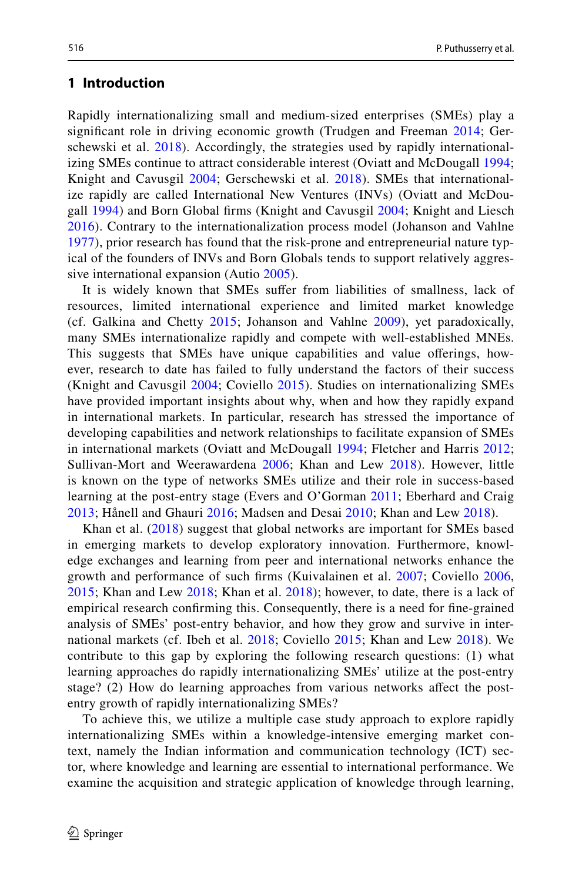#### **1 Introduction**

Rapidly internationalizing small and medium-sized enterprises (SMEs) play a signifcant role in driving economic growth (Trudgen and Freeman [2014;](#page-28-0) Gerschewski et al. [2018](#page-26-0)). Accordingly, the strategies used by rapidly internationalizing SMEs continue to attract considerable interest (Oviatt and McDougall [1994;](#page-27-0) Knight and Cavusgil [2004;](#page-27-1) Gerschewski et al. [2018](#page-26-0)). SMEs that internationalize rapidly are called International New Ventures (INVs) (Oviatt and McDougall [1994\)](#page-27-0) and Born Global frms (Knight and Cavusgil [2004;](#page-27-1) Knight and Liesch [2016\)](#page-27-2). Contrary to the internationalization process model (Johanson and Vahlne [1977\)](#page-26-1), prior research has found that the risk-prone and entrepreneurial nature typical of the founders of INVs and Born Globals tends to support relatively aggressive international expansion (Autio [2005\)](#page-24-0).

It is widely known that SMEs sufer from liabilities of smallness, lack of resources, limited international experience and limited market knowledge (cf. Galkina and Chetty [2015](#page-26-2); Johanson and Vahlne [2009\)](#page-26-3), yet paradoxically, many SMEs internationalize rapidly and compete with well-established MNEs. This suggests that SMEs have unique capabilities and value oferings, however, research to date has failed to fully understand the factors of their success (Knight and Cavusgil [2004;](#page-27-1) Coviello [2015](#page-25-0)). Studies on internationalizing SMEs have provided important insights about why, when and how they rapidly expand in international markets. In particular, research has stressed the importance of developing capabilities and network relationships to facilitate expansion of SMEs in international markets (Oviatt and McDougall [1994;](#page-27-0) Fletcher and Harris [2012;](#page-26-4) Sullivan-Mort and Weerawardena [2006;](#page-28-1) Khan and Lew [2018](#page-27-3)). However, little is known on the type of networks SMEs utilize and their role in success-based learning at the post-entry stage (Evers and O'Gorman [2011;](#page-26-5) Eberhard and Craig [2013;](#page-26-6) Hånell and Ghauri [2016;](#page-26-7) Madsen and Desai [2010;](#page-27-4) Khan and Lew [2018\)](#page-27-3).

Khan et al. ([2018](#page-27-5)) suggest that global networks are important for SMEs based in emerging markets to develop exploratory innovation. Furthermore, knowledge exchanges and learning from peer and international networks enhance the growth and performance of such frms (Kuivalainen et al. [2007;](#page-27-6) Coviello [2006,](#page-25-1) [2015;](#page-25-0) Khan and Lew [2018;](#page-27-3) Khan et al. [2018](#page-27-5)); however, to date, there is a lack of empirical research confrming this. Consequently, there is a need for fne-grained analysis of SMEs' post-entry behavior, and how they grow and survive in international markets (cf. Ibeh et al. [2018;](#page-26-8) Coviello [2015](#page-25-0); Khan and Lew [2018](#page-27-3)). We contribute to this gap by exploring the following research questions: (1) what learning approaches do rapidly internationalizing SMEs' utilize at the post-entry stage? (2) How do learning approaches from various networks afect the postentry growth of rapidly internationalizing SMEs?

To achieve this, we utilize a multiple case study approach to explore rapidly internationalizing SMEs within a knowledge-intensive emerging market context, namely the Indian information and communication technology (ICT) sector, where knowledge and learning are essential to international performance. We examine the acquisition and strategic application of knowledge through learning,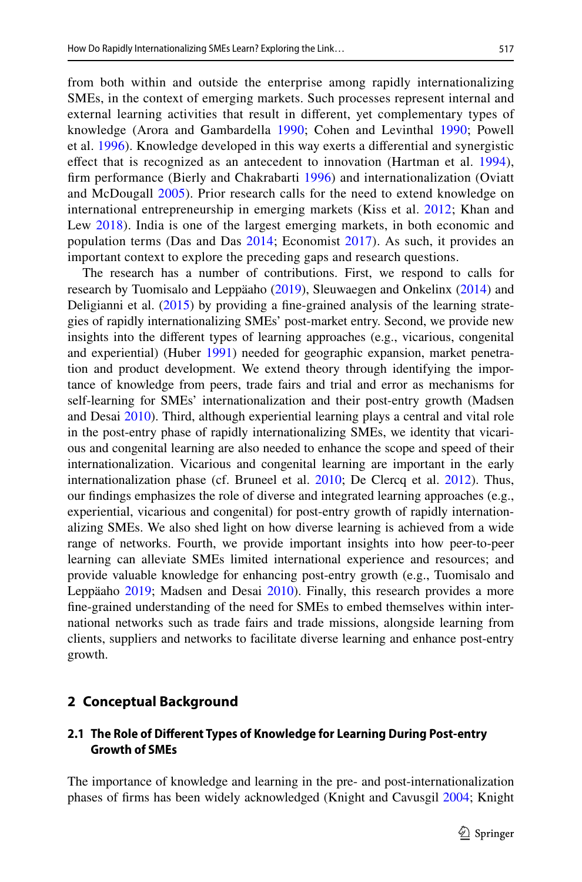from both within and outside the enterprise among rapidly internationalizing SMEs, in the context of emerging markets. Such processes represent internal and external learning activities that result in diferent, yet complementary types of knowledge (Arora and Gambardella [1990;](#page-24-1) Cohen and Levinthal [1990;](#page-25-2) Powell et al. [1996](#page-28-2)). Knowledge developed in this way exerts a diferential and synergistic efect that is recognized as an antecedent to innovation (Hartman et al. [1994](#page-26-9)), frm performance (Bierly and Chakrabarti [1996](#page-25-3)) and internationalization (Oviatt and McDougall [2005](#page-27-7)). Prior research calls for the need to extend knowledge on international entrepreneurship in emerging markets (Kiss et al. [2012](#page-27-8); Khan and Lew [2018](#page-27-3)). India is one of the largest emerging markets, in both economic and population terms (Das and Das [2014;](#page-25-4) Economist [2017](#page-26-10)). As such, it provides an important context to explore the preceding gaps and research questions.

The research has a number of contributions. First, we respond to calls for research by Tuomisalo and Leppäaho ([2019\)](#page-28-3), Sleuwaegen and Onkelinx ([2014\)](#page-28-4) and Deligianni et al. [\(2015](#page-25-5)) by providing a fne-grained analysis of the learning strategies of rapidly internationalizing SMEs' post-market entry. Second, we provide new insights into the diferent types of learning approaches (e.g., vicarious, congenital and experiential) (Huber [1991\)](#page-26-11) needed for geographic expansion, market penetration and product development. We extend theory through identifying the importance of knowledge from peers, trade fairs and trial and error as mechanisms for self-learning for SMEs' internationalization and their post-entry growth (Madsen and Desai [2010\)](#page-27-4). Third, although experiential learning plays a central and vital role in the post-entry phase of rapidly internationalizing SMEs, we identity that vicarious and congenital learning are also needed to enhance the scope and speed of their internationalization. Vicarious and congenital learning are important in the early internationalization phase (cf. Bruneel et al. [2010](#page-25-6); De Clercq et al. [2012](#page-25-7)). Thus, our fndings emphasizes the role of diverse and integrated learning approaches (e.g., experiential, vicarious and congenital) for post-entry growth of rapidly internationalizing SMEs. We also shed light on how diverse learning is achieved from a wide range of networks. Fourth, we provide important insights into how peer-to-peer learning can alleviate SMEs limited international experience and resources; and provide valuable knowledge for enhancing post-entry growth (e.g., Tuomisalo and Leppäaho [2019](#page-28-3); Madsen and Desai [2010\)](#page-27-4). Finally, this research provides a more fne-grained understanding of the need for SMEs to embed themselves within international networks such as trade fairs and trade missions, alongside learning from clients, suppliers and networks to facilitate diverse learning and enhance post-entry growth.

## **2 Conceptual Background**

## **2.1 The Role of Diferent Types of Knowledge for Learning During Post‑entry Growth of SMEs**

The importance of knowledge and learning in the pre- and post-internationalization phases of frms has been widely acknowledged (Knight and Cavusgil [2004;](#page-27-1) Knight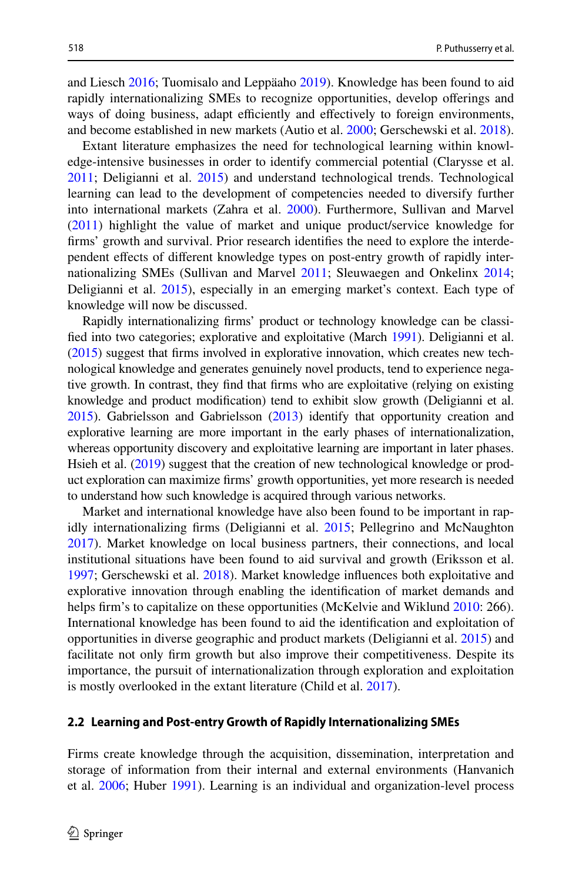and Liesch [2016](#page-27-2); Tuomisalo and Leppäaho [2019](#page-28-3)). Knowledge has been found to aid rapidly internationalizing SMEs to recognize opportunities, develop oferings and ways of doing business, adapt efficiently and effectively to foreign environments, and become established in new markets (Autio et al. [2000;](#page-25-8) Gerschewski et al. [2018\)](#page-26-0).

Extant literature emphasizes the need for technological learning within knowledge-intensive businesses in order to identify commercial potential (Clarysse et al. [2011](#page-25-9); Deligianni et al. [2015](#page-25-5)) and understand technological trends. Technological learning can lead to the development of competencies needed to diversify further into international markets (Zahra et al. [2000\)](#page-28-5). Furthermore, Sullivan and Marvel [\(2011](#page-28-6)) highlight the value of market and unique product/service knowledge for frms' growth and survival. Prior research identifes the need to explore the interdependent efects of diferent knowledge types on post-entry growth of rapidly internationalizing SMEs (Sullivan and Marvel [2011](#page-28-6); Sleuwaegen and Onkelinx [2014;](#page-28-4) Deligianni et al. [2015\)](#page-25-5), especially in an emerging market's context. Each type of knowledge will now be discussed.

Rapidly internationalizing frms' product or technology knowledge can be classifed into two categories; explorative and exploitative (March [1991](#page-27-9)). Deligianni et al. [\(2015\)](#page-25-5) suggest that frms involved in explorative innovation, which creates new technological knowledge and generates genuinely novel products, tend to experience negative growth. In contrast, they fnd that frms who are exploitative (relying on existing knowledge and product modifcation) tend to exhibit slow growth (Deligianni et al. [2015\)](#page-25-5). Gabrielsson and Gabrielsson [\(2013\)](#page-26-12) identify that opportunity creation and explorative learning are more important in the early phases of internationalization, whereas opportunity discovery and exploitative learning are important in later phases. Hsieh et al. ([2019](#page-26-13)) suggest that the creation of new technological knowledge or product exploration can maximize frms' growth opportunities, yet more research is needed to understand how such knowledge is acquired through various networks.

Market and international knowledge have also been found to be important in rap-idly internationalizing firms (Deligianni et al. [2015;](#page-25-5) Pellegrino and McNaughton [2017](#page-28-7)). Market knowledge on local business partners, their connections, and local institutional situations have been found to aid survival and growth (Eriksson et al. [1997](#page-26-14); Gerschewski et al. [2018](#page-26-0)). Market knowledge infuences both exploitative and explorative innovation through enabling the identifcation of market demands and helps firm's to capitalize on these opportunities (McKelvie and Wiklund [2010](#page-27-10): 266). International knowledge has been found to aid the identifcation and exploitation of opportunities in diverse geographic and product markets (Deligianni et al. [2015](#page-25-5)) and facilitate not only frm growth but also improve their competitiveness. Despite its importance, the pursuit of internationalization through exploration and exploitation is mostly overlooked in the extant literature (Child et al. [2017\)](#page-25-10).

#### **2.2 Learning and Post‑entry Growth of Rapidly Internationalizing SMEs**

Firms create knowledge through the acquisition, dissemination, interpretation and storage of information from their internal and external environments (Hanvanich et al. [2006;](#page-26-15) Huber [1991](#page-26-11)). Learning is an individual and organization-level process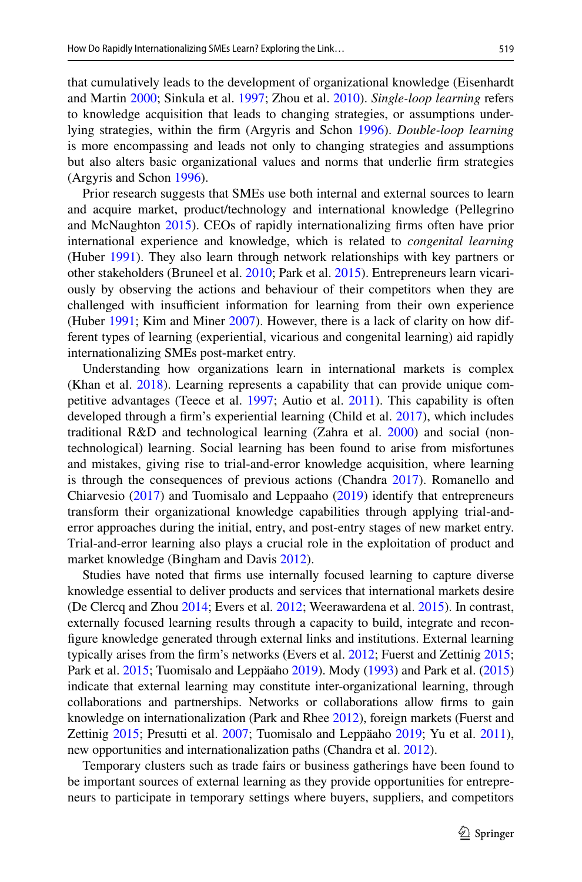that cumulatively leads to the development of organizational knowledge (Eisenhardt and Martin [2000](#page-26-16); Sinkula et al. [1997;](#page-28-8) Zhou et al. [2010\)](#page-28-9). *Single-loop learning* refers to knowledge acquisition that leads to changing strategies, or assumptions underlying strategies, within the frm (Argyris and Schon [1996](#page-24-2)). *Double-loop learning* is more encompassing and leads not only to changing strategies and assumptions but also alters basic organizational values and norms that underlie frm strategies (Argyris and Schon [1996\)](#page-24-2).

Prior research suggests that SMEs use both internal and external sources to learn and acquire market, product/technology and international knowledge (Pellegrino and McNaughton [2015\)](#page-28-10). CEOs of rapidly internationalizing frms often have prior international experience and knowledge, which is related to *congenital learning* (Huber [1991\)](#page-26-11). They also learn through network relationships with key partners or other stakeholders (Bruneel et al. [2010](#page-25-6); Park et al. [2015\)](#page-27-11). Entrepreneurs learn vicariously by observing the actions and behaviour of their competitors when they are challenged with insufficient information for learning from their own experience (Huber [1991](#page-26-11); Kim and Miner [2007\)](#page-27-12). However, there is a lack of clarity on how different types of learning (experiential, vicarious and congenital learning) aid rapidly internationalizing SMEs post-market entry.

Understanding how organizations learn in international markets is complex (Khan et al. [2018](#page-27-5)). Learning represents a capability that can provide unique competitive advantages (Teece et al. [1997;](#page-28-11) Autio et al. [2011](#page-25-11)). This capability is often developed through a frm's experiential learning (Child et al. [2017](#page-25-10)), which includes traditional R&D and technological learning (Zahra et al. [2000\)](#page-28-5) and social (nontechnological) learning. Social learning has been found to arise from misfortunes and mistakes, giving rise to trial-and-error knowledge acquisition, where learning is through the consequences of previous actions (Chandra [2017](#page-25-12)). Romanello and Chiarvesio ([2017\)](#page-28-12) and Tuomisalo and Leppaaho ([2019\)](#page-28-3) identify that entrepreneurs transform their organizational knowledge capabilities through applying trial-anderror approaches during the initial, entry, and post-entry stages of new market entry. Trial-and-error learning also plays a crucial role in the exploitation of product and market knowledge (Bingham and Davis [2012\)](#page-25-13).

Studies have noted that frms use internally focused learning to capture diverse knowledge essential to deliver products and services that international markets desire (De Clercq and Zhou [2014](#page-25-14); Evers et al. [2012;](#page-26-17) Weerawardena et al. [2015\)](#page-28-13). In contrast, externally focused learning results through a capacity to build, integrate and reconfgure knowledge generated through external links and institutions. External learning typically arises from the firm's networks (Evers et al. [2012;](#page-26-17) Fuerst and Zettinig [2015;](#page-26-18) Park et al. [2015;](#page-27-11) Tuomisalo and Leppäaho [2019](#page-28-3)). Mody ([1993\)](#page-27-13) and Park et al. [\(2015](#page-27-11)) indicate that external learning may constitute inter-organizational learning, through collaborations and partnerships. Networks or collaborations allow frms to gain knowledge on internationalization (Park and Rhee [2012](#page-27-14)), foreign markets (Fuerst and Zettinig [2015](#page-26-18); Presutti et al. [2007;](#page-28-14) Tuomisalo and Leppäaho [2019;](#page-28-3) Yu et al. [2011\)](#page-28-15), new opportunities and internationalization paths (Chandra et al. [2012\)](#page-25-15).

Temporary clusters such as trade fairs or business gatherings have been found to be important sources of external learning as they provide opportunities for entrepreneurs to participate in temporary settings where buyers, suppliers, and competitors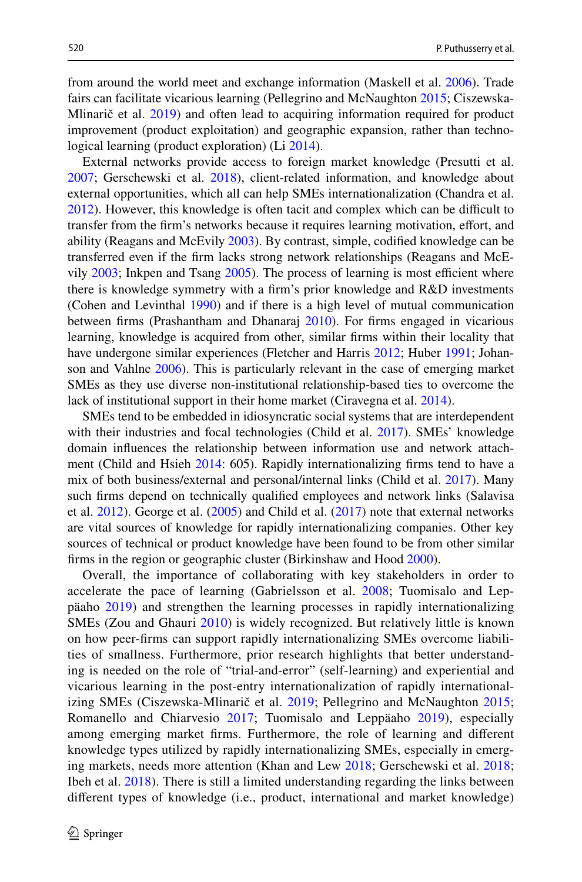from around the world meet and exchange information (Maskell et al. [2006](#page-27-15)). Trade fairs can facilitate vicarious learning (Pellegrino and McNaughton [2015;](#page-28-10) Ciszewska-Mlinarič et al. [2019](#page-25-16)) and often lead to acquiring information required for product improvement (product exploitation) and geographic expansion, rather than technological learning (product exploration) (Li [2014](#page-27-16)).

External networks provide access to foreign market knowledge (Presutti et al. [2007](#page-28-14); Gerschewski et al. [2018\)](#page-26-0), client-related information, and knowledge about external opportunities, which all can help SMEs internationalization (Chandra et al. [2012](#page-25-15)). However, this knowledge is often tacit and complex which can be difficult to transfer from the firm's networks because it requires learning motivation, effort, and ability (Reagans and McEvily [2003](#page-28-16)). By contrast, simple, codifed knowledge can be transferred even if the frm lacks strong network relationships (Reagans and McEvily  $2003$ ; Inkpen and Tsang  $2005$ ). The process of learning is most efficient where there is knowledge symmetry with a frm's prior knowledge and R&D investments (Cohen and Levinthal [1990\)](#page-25-2) and if there is a high level of mutual communication between firms (Prashantham and Dhanaraj [2010\)](#page-28-17). For firms engaged in vicarious learning, knowledge is acquired from other, similar frms within their locality that have undergone similar experiences (Fletcher and Harris [2012;](#page-26-4) Huber [1991](#page-26-11); Johanson and Vahlne [2006](#page-26-20)). This is particularly relevant in the case of emerging market SMEs as they use diverse non-institutional relationship-based ties to overcome the lack of institutional support in their home market (Ciravegna et al. [2014\)](#page-25-17).

SMEs tend to be embedded in idiosyncratic social systems that are interdependent with their industries and focal technologies (Child et al. [2017\)](#page-25-10). SMEs' knowledge domain infuences the relationship between information use and network attachment (Child and Hsieh [2014:](#page-25-18) 605). Rapidly internationalizing frms tend to have a mix of both business/external and personal/internal links (Child et al. [2017](#page-25-10)). Many such frms depend on technically qualifed employees and network links (Salavisa et al. [2012](#page-28-18)). George et al. [\(2005](#page-26-21)) and Child et al. [\(2017](#page-25-10)) note that external networks are vital sources of knowledge for rapidly internationalizing companies. Other key sources of technical or product knowledge have been found to be from other similar firms in the region or geographic cluster (Birkinshaw and Hood [2000](#page-25-19)).

Overall, the importance of collaborating with key stakeholders in order to accelerate the pace of learning (Gabrielsson et al. [2008;](#page-26-12) Tuomisalo and Leppäaho [2019\)](#page-28-3) and strengthen the learning processes in rapidly internationalizing SMEs (Zou and Ghauri [2010\)](#page-29-0) is widely recognized. But relatively little is known on how peer-frms can support rapidly internationalizing SMEs overcome liabilities of smallness. Furthermore, prior research highlights that better understanding is needed on the role of "trial-and-error" (self-learning) and experiential and vicarious learning in the post-entry internationalization of rapidly internationalizing SMEs (Ciszewska-Mlinarič et al. [2019](#page-25-16); Pellegrino and McNaughton [2015;](#page-28-10) Romanello and Chiarvesio [2017;](#page-28-12) Tuomisalo and Leppäaho [2019](#page-28-3)), especially among emerging market frms. Furthermore, the role of learning and diferent knowledge types utilized by rapidly internationalizing SMEs, especially in emerging markets, needs more attention (Khan and Lew [2018;](#page-27-3) Gerschewski et al. [2018;](#page-26-0) Ibeh et al. [2018](#page-26-8)). There is still a limited understanding regarding the links between diferent types of knowledge (i.e., product, international and market knowledge)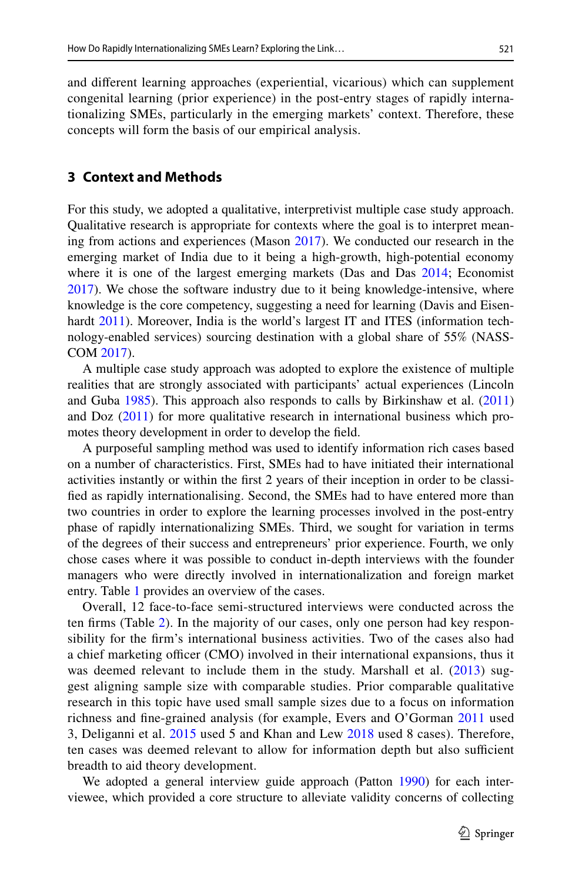and diferent learning approaches (experiential, vicarious) which can supplement congenital learning (prior experience) in the post-entry stages of rapidly internationalizing SMEs, particularly in the emerging markets' context. Therefore, these concepts will form the basis of our empirical analysis.

#### **3 Context and Methods**

For this study, we adopted a qualitative, interpretivist multiple case study approach. Qualitative research is appropriate for contexts where the goal is to interpret meaning from actions and experiences (Mason [2017\)](#page-27-17). We conducted our research in the emerging market of India due to it being a high-growth, high-potential economy where it is one of the largest emerging markets (Das and Das [2014;](#page-25-4) Economist [2017](#page-26-10)). We chose the software industry due to it being knowledge-intensive, where knowledge is the core competency, suggesting a need for learning (Davis and Eisen-hardt [2011\)](#page-25-20). Moreover, India is the world's largest IT and ITES (information technology-enabled services) sourcing destination with a global share of 55% (NASS-COM [2017](#page-27-18)).

A multiple case study approach was adopted to explore the existence of multiple realities that are strongly associated with participants' actual experiences (Lincoln and Guba [1985\)](#page-27-19). This approach also responds to calls by Birkinshaw et al. [\(2011](#page-25-21)) and Doz ([2011\)](#page-25-22) for more qualitative research in international business which promotes theory development in order to develop the feld.

A purposeful sampling method was used to identify information rich cases based on a number of characteristics. First, SMEs had to have initiated their international activities instantly or within the frst 2 years of their inception in order to be classifed as rapidly internationalising. Second, the SMEs had to have entered more than two countries in order to explore the learning processes involved in the post-entry phase of rapidly internationalizing SMEs. Third, we sought for variation in terms of the degrees of their success and entrepreneurs' prior experience. Fourth, we only chose cases where it was possible to conduct in-depth interviews with the founder managers who were directly involved in internationalization and foreign market entry. Table [1](#page-9-0) provides an overview of the cases.

Overall, 12 face-to-face semi-structured interviews were conducted across the ten frms (Table [2\)](#page-10-0). In the majority of our cases, only one person had key responsibility for the frm's international business activities. Two of the cases also had a chief marketing officer (CMO) involved in their international expansions, thus it was deemed relevant to include them in the study. Marshall et al. ([2013](#page-27-20)) suggest aligning sample size with comparable studies. Prior comparable qualitative research in this topic have used small sample sizes due to a focus on information richness and fne-grained analysis (for example, Evers and O'Gorman [2011](#page-26-5) used 3, Deliganni et al. [2015](#page-25-5) used 5 and Khan and Lew [2018](#page-27-3) used 8 cases). Therefore, ten cases was deemed relevant to allow for information depth but also sufficient breadth to aid theory development.

We adopted a general interview guide approach (Patton [1990](#page-28-19)) for each interviewee, which provided a core structure to alleviate validity concerns of collecting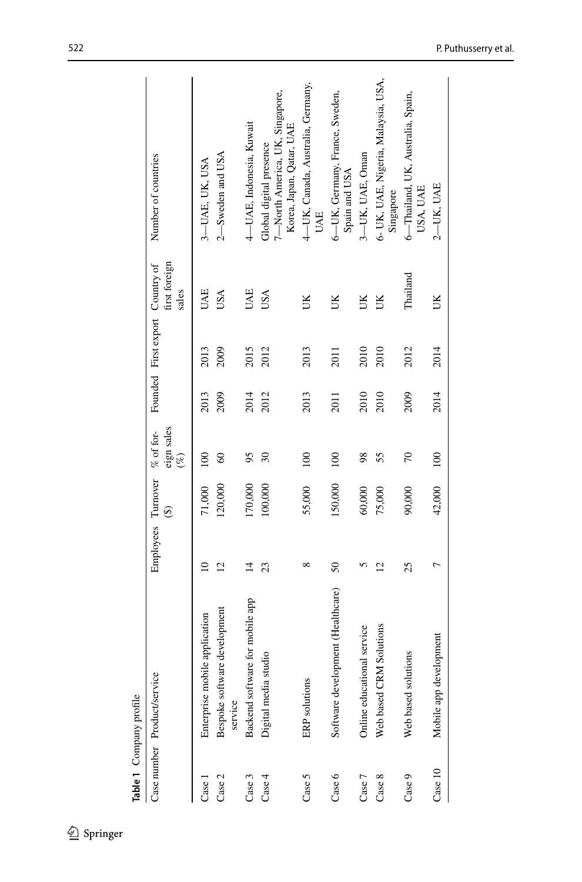<span id="page-9-0"></span>

| Table 1 Company profile |                                         |                    |                          |                                     |      |                                 |                        |                                                                                        |
|-------------------------|-----------------------------------------|--------------------|--------------------------|-------------------------------------|------|---------------------------------|------------------------|----------------------------------------------------------------------------------------|
|                         | Case number Product/service             | Employees Turnover | $\widehat{\mathfrak{G}}$ | eign sales<br>$%$ of for-<br>$(\%)$ |      | Founded First export Country of | first foreign<br>sales | Number of countries                                                                    |
| Case                    | Enterprise mobile application           | $\overline{10}$    | 71,000                   | 100                                 | 2013 | 2013                            | <b>HAL</b>             | 3-UAE, UK, USA                                                                         |
| Case 2                  | Bespoke software development<br>service | $\overline{c}$     | 120,000                  | $\degree$                           | 2009 | 2009                            | USA                    | 2—Sweden and USA                                                                       |
| Case 3                  | Backend software for mobile app         | $\overline{4}$     | 170,000                  | 95                                  | 2014 | 2015                            | UAE                    | 4-UAE, Indonesia, Kuwait                                                               |
| Case 4                  | Digital media studio                    | 23                 | 100,000                  | $\mathcal{S}$                       | 2012 | 2012                            | USA                    | 7—North America, UK, Singapore,<br>Korea, Japan, Qatar, UAE<br>Global digital presence |
| Case 5                  | ERP solutions                           | ∞                  | 55,000                   | 100                                 | 2013 | 2013                            | š                      | 4-UK, Canada, Australia, Germany,<br><b>UAE</b>                                        |
| Case 6                  | Software development (Healthcare)       | $\mathcal{S}$      | 150,000                  | 100                                 | 2011 | 2011                            | UK                     | 6—UK, Germany, France, Sweden,<br>Spain and USA                                        |
| Case 7                  | Online educational service              | 5                  | 60,000                   | 98                                  | 2010 | 2010                            | JК                     | 3-UK, UAE, Oman                                                                        |
| Case 8                  | Web based CRM Solutions                 | $\overline{c}$     | 75,000                   | 55                                  | 2010 | 2010                            | UK                     | 6- UK, UAE, Nigeria, Malaysia, USA,<br>Singapore                                       |
| Case 9                  | Web based solutions                     | 25                 | 90,000                   | $\approx$                           | 2009 | 2012                            | Thailand               | 6-Thailand, UK, Australia, Spain,<br>USA, UAE                                          |
| Case 10                 | Mobile app development                  | $\overline{ }$     | 42,000                   | 100                                 | 2014 | 2014                            | ŬК                     | 2-UK, UAE                                                                              |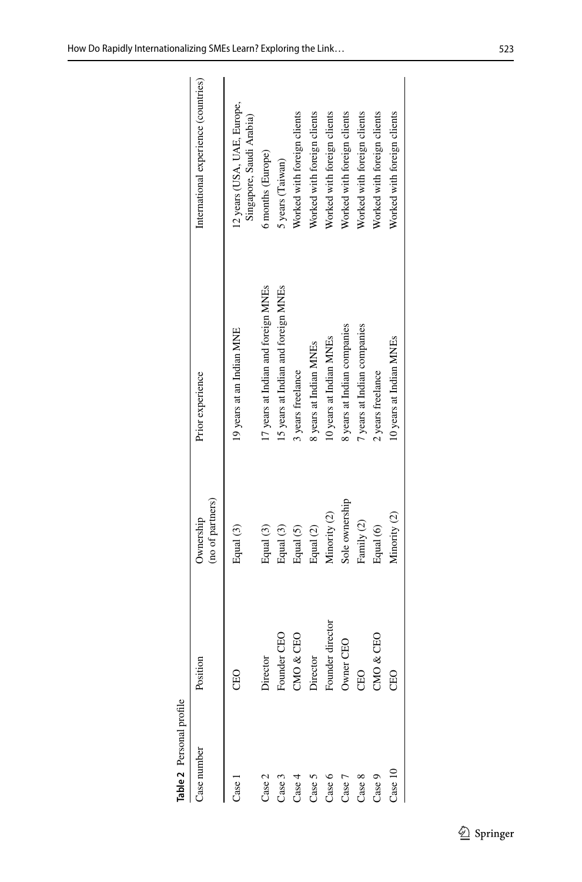<span id="page-10-0"></span>

| Ε           |  |
|-------------|--|
| c<br>₹<br>٦ |  |
| ٠           |  |

| Table 2 Personal profile |                  |                               |                                     |                                                         |
|--------------------------|------------------|-------------------------------|-------------------------------------|---------------------------------------------------------|
| Case number              | Position         | (no of partners)<br>Ownership | Prior experience                    | International experience (countries)                    |
| Case 1                   | CEO              | Equal (3)                     | 19 years at an Indian MINE          | 12 years (USA, UAE, Europe,<br>Singapore, Saudi Arabia) |
| Case 2                   | Director         | Equal (3)                     | 17 years at Indian and foreign MNEs | 6 months (Europe)                                       |
| Case 3                   | Founder CEO      | Equal (3)                     | 15 years at Indian and foreign MNEs | 5 years (Taiwan)                                        |
| Case 4                   | $&$ CEO<br>CMO   | Equal (5)                     | 3 years freelance                   | Worked with foreign clients                             |
| Case 5                   | Director         | Equal (2)                     | 8 years at Indian MNEs              | Worked with foreign clients                             |
| Case 6                   | Founder director | Minority (2)                  | 10 years at Indian MNEs             | Worked with foreign clients                             |
| Case 7                   | Owner CEO        | Sole ownership                | 8 years at Indian companies         | Worked with foreign clients                             |
| Case 8                   | <b>CEO</b>       | Family (2)                    | 7 years at Indian companies         | Worked with foreign clients                             |
| Case 9                   | $\&$ CEO<br>CMO  | Equal (6)                     | 2 years freelance                   | Worked with foreign clients                             |
| Case 10                  | <b>CEO</b>       | Minority (2)                  | 10 years at Indian MNEs             | Worked with foreign clients                             |
|                          |                  |                               |                                     |                                                         |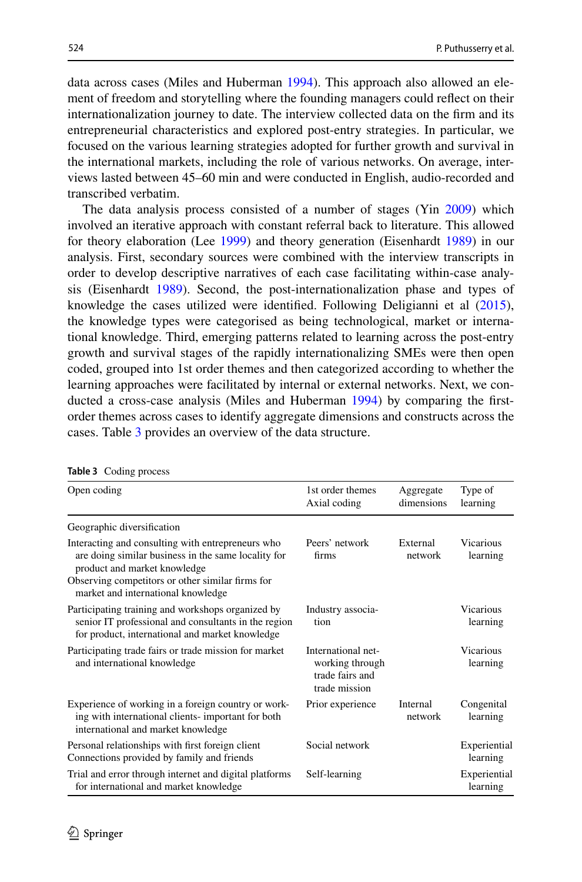data across cases (Miles and Huberman [1994\)](#page-27-21). This approach also allowed an element of freedom and storytelling where the founding managers could refect on their internationalization journey to date. The interview collected data on the frm and its entrepreneurial characteristics and explored post-entry strategies. In particular, we focused on the various learning strategies adopted for further growth and survival in the international markets, including the role of various networks. On average, interviews lasted between 45–60 min and were conducted in English, audio-recorded and transcribed verbatim.

The data analysis process consisted of a number of stages (Yin [2009](#page-28-20)) which involved an iterative approach with constant referral back to literature. This allowed for theory elaboration (Lee [1999](#page-27-22)) and theory generation (Eisenhardt [1989\)](#page-26-22) in our analysis. First, secondary sources were combined with the interview transcripts in order to develop descriptive narratives of each case facilitating within-case analysis (Eisenhardt [1989\)](#page-26-22). Second, the post-internationalization phase and types of knowledge the cases utilized were identifed. Following Deligianni et al ([2015\)](#page-25-5), the knowledge types were categorised as being technological, market or international knowledge. Third, emerging patterns related to learning across the post-entry growth and survival stages of the rapidly internationalizing SMEs were then open coded, grouped into 1st order themes and then categorized according to whether the learning approaches were facilitated by internal or external networks. Next, we conducted a cross-case analysis (Miles and Huberman [1994](#page-27-21)) by comparing the frstorder themes across cases to identify aggregate dimensions and constructs across the cases. Table [3](#page-11-0) provides an overview of the data structure.

| $\frac{1}{2}$ counterprocess                                                                                                                                                                                                       |                                                                           |                         |                              |
|------------------------------------------------------------------------------------------------------------------------------------------------------------------------------------------------------------------------------------|---------------------------------------------------------------------------|-------------------------|------------------------------|
| Open coding                                                                                                                                                                                                                        | 1st order themes<br>Axial coding                                          | Aggregate<br>dimensions | Type of<br>learning          |
| Geographic diversification                                                                                                                                                                                                         |                                                                           |                         |                              |
| Interacting and consulting with entrepreneurs who<br>are doing similar business in the same locality for<br>product and market knowledge<br>Observing competitors or other similar firms for<br>market and international knowledge | Peers' network<br>firms                                                   | External<br>network     | <b>Vicarious</b><br>learning |
| Participating training and workshops organized by<br>senior IT professional and consultants in the region<br>for product, international and market knowledge                                                                       | Industry associa-<br>tion                                                 |                         | <b>Vicarious</b><br>learning |
| Participating trade fairs or trade mission for market<br>and international knowledge                                                                                                                                               | International net-<br>working through<br>trade fairs and<br>trade mission |                         | <b>Vicarious</b><br>learning |
| Experience of working in a foreign country or work-<br>ing with international clients- important for both<br>international and market knowledge                                                                                    | Prior experience                                                          | Internal<br>network     | Congenital<br>learning       |
| Personal relationships with first foreign client<br>Connections provided by family and friends                                                                                                                                     | Social network                                                            |                         | Experiential<br>learning     |
| Trial and error through internet and digital platforms<br>for international and market knowledge                                                                                                                                   | Self-learning                                                             |                         | Experiential<br>learning     |

<span id="page-11-0"></span>**Table 3** Coding process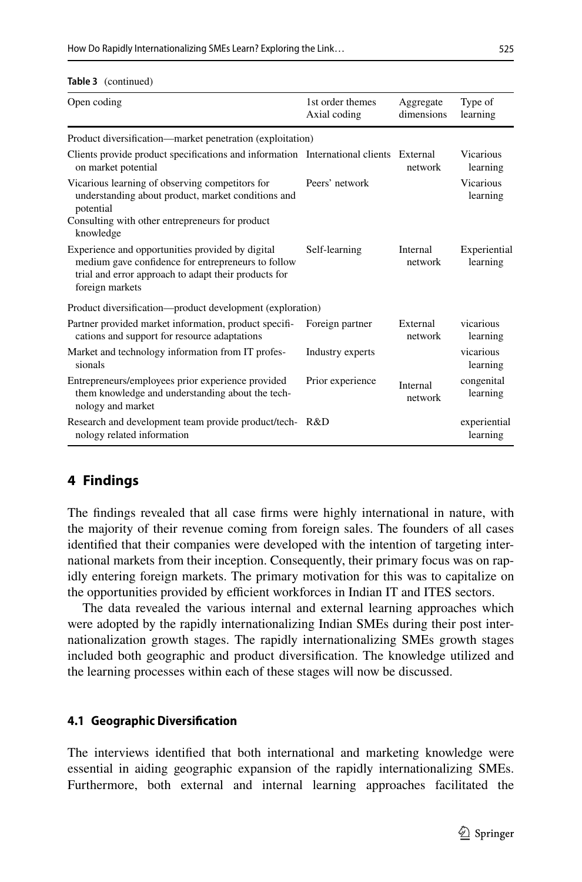#### How Do Rapidly Internationalizing SMEs Learn? Exploring the Link…

| Open coding                                                                                                                                                                       | 1st order themes<br>Axial coding | Aggregate<br>dimensions | Type of<br>learning          |
|-----------------------------------------------------------------------------------------------------------------------------------------------------------------------------------|----------------------------------|-------------------------|------------------------------|
| Product diversification—market penetration (exploitation)                                                                                                                         |                                  |                         |                              |
| Clients provide product specifications and information International clients External<br>on market potential                                                                      |                                  | network                 | Vicarious<br>learning        |
| Vicarious learning of observing competitors for<br>understanding about product, market conditions and<br>potential                                                                | Peers' network                   |                         | <b>Vicarious</b><br>learning |
| Consulting with other entrepreneurs for product<br>knowledge                                                                                                                      |                                  |                         |                              |
| Experience and opportunities provided by digital<br>medium gave confidence for entrepreneurs to follow<br>trial and error approach to adapt their products for<br>foreign markets | Self-learning                    | Internal<br>network     | Experiential<br>learning     |
| Product diversification—product development (exploration)                                                                                                                         |                                  |                         |                              |
| Partner provided market information, product specifi-<br>cations and support for resource adaptations                                                                             | Foreign partner                  | External<br>network     | vicarious<br>learning        |
| Market and technology information from IT profes-<br>sionals                                                                                                                      | Industry experts                 |                         | vicarious<br>learning        |
| Entrepreneurs/employees prior experience provided<br>them knowledge and understanding about the tech-<br>nology and market                                                        | Prior experience                 | Internal<br>network     | congenital<br>learning       |
| Research and development team provide product/tech-R&D<br>nology related information                                                                                              |                                  |                         | experiential<br>learning     |

#### **Table 3** (continued)

## **4 Findings**

The fndings revealed that all case frms were highly international in nature, with the majority of their revenue coming from foreign sales. The founders of all cases identifed that their companies were developed with the intention of targeting international markets from their inception. Consequently, their primary focus was on rapidly entering foreign markets. The primary motivation for this was to capitalize on the opportunities provided by efficient workforces in Indian IT and ITES sectors.

The data revealed the various internal and external learning approaches which were adopted by the rapidly internationalizing Indian SMEs during their post internationalization growth stages. The rapidly internationalizing SMEs growth stages included both geographic and product diversifcation. The knowledge utilized and the learning processes within each of these stages will now be discussed.

#### **4.1 Geographic Diversifcation**

The interviews identifed that both international and marketing knowledge were essential in aiding geographic expansion of the rapidly internationalizing SMEs. Furthermore, both external and internal learning approaches facilitated the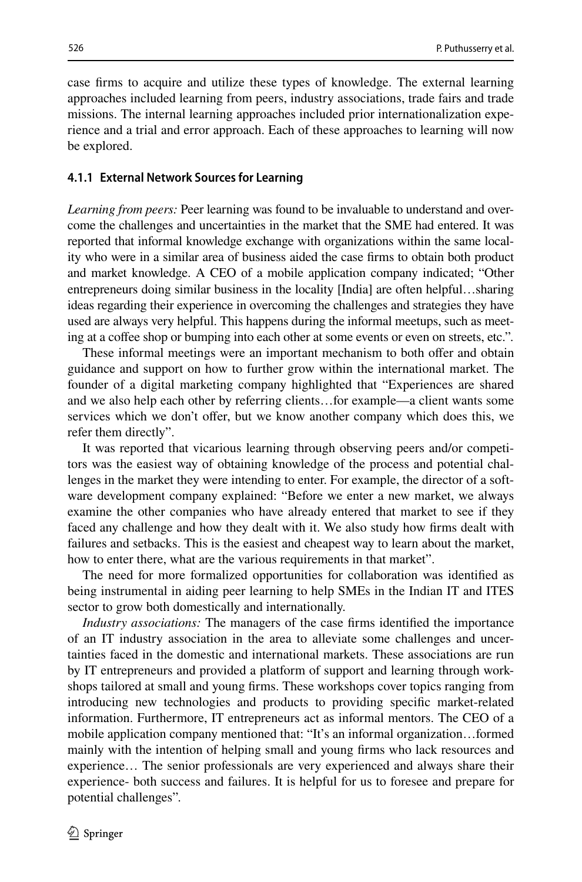case frms to acquire and utilize these types of knowledge. The external learning approaches included learning from peers, industry associations, trade fairs and trade missions. The internal learning approaches included prior internationalization experience and a trial and error approach. Each of these approaches to learning will now be explored.

#### **4.1.1 External Network Sources for Learning**

*Learning from peers:* Peer learning was found to be invaluable to understand and overcome the challenges and uncertainties in the market that the SME had entered. It was reported that informal knowledge exchange with organizations within the same locality who were in a similar area of business aided the case frms to obtain both product and market knowledge. A CEO of a mobile application company indicated; "Other entrepreneurs doing similar business in the locality [India] are often helpful…sharing ideas regarding their experience in overcoming the challenges and strategies they have used are always very helpful. This happens during the informal meetups, such as meeting at a coffee shop or bumping into each other at some events or even on streets, etc.".

These informal meetings were an important mechanism to both offer and obtain guidance and support on how to further grow within the international market. The founder of a digital marketing company highlighted that "Experiences are shared and we also help each other by referring clients…for example—a client wants some services which we don't ofer, but we know another company which does this, we refer them directly".

It was reported that vicarious learning through observing peers and/or competitors was the easiest way of obtaining knowledge of the process and potential challenges in the market they were intending to enter. For example, the director of a software development company explained: "Before we enter a new market, we always examine the other companies who have already entered that market to see if they faced any challenge and how they dealt with it. We also study how frms dealt with failures and setbacks. This is the easiest and cheapest way to learn about the market, how to enter there, what are the various requirements in that market".

The need for more formalized opportunities for collaboration was identifed as being instrumental in aiding peer learning to help SMEs in the Indian IT and ITES sector to grow both domestically and internationally.

*Industry associations:* The managers of the case frms identifed the importance of an IT industry association in the area to alleviate some challenges and uncertainties faced in the domestic and international markets. These associations are run by IT entrepreneurs and provided a platform of support and learning through workshops tailored at small and young frms. These workshops cover topics ranging from introducing new technologies and products to providing specifc market-related information. Furthermore, IT entrepreneurs act as informal mentors. The CEO of a mobile application company mentioned that: "It's an informal organization…formed mainly with the intention of helping small and young frms who lack resources and experience… The senior professionals are very experienced and always share their experience- both success and failures. It is helpful for us to foresee and prepare for potential challenges"*.*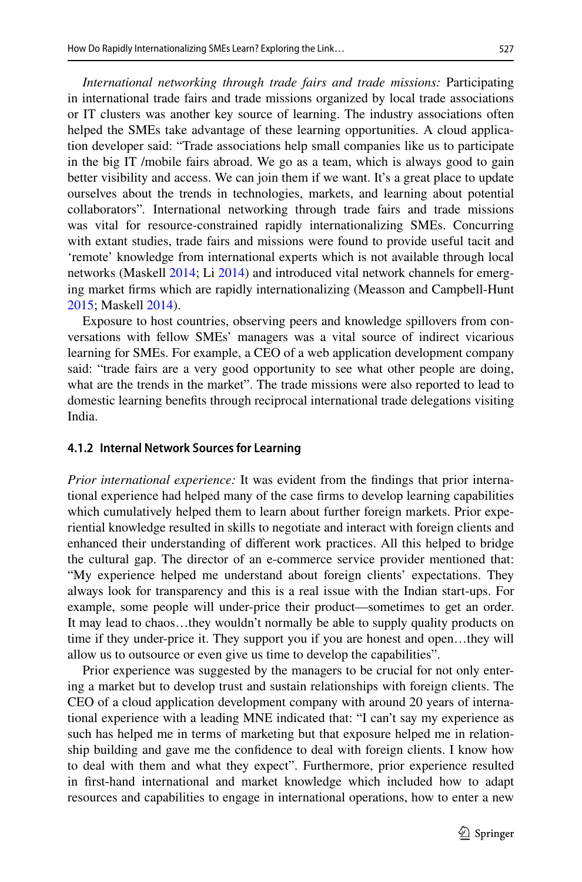*International networking through trade fairs and trade missions:* Participating in international trade fairs and trade missions organized by local trade associations or IT clusters was another key source of learning. The industry associations often helped the SMEs take advantage of these learning opportunities. A cloud application developer said: "Trade associations help small companies like us to participate in the big IT /mobile fairs abroad. We go as a team, which is always good to gain better visibility and access. We can join them if we want. It's a great place to update ourselves about the trends in technologies, markets, and learning about potential collaborators"*.* International networking through trade fairs and trade missions was vital for resource-constrained rapidly internationalizing SMEs. Concurring with extant studies, trade fairs and missions were found to provide useful tacit and 'remote' knowledge from international experts which is not available through local networks (Maskell [2014;](#page-27-17) Li [2014\)](#page-27-16) and introduced vital network channels for emerging market frms which are rapidly internationalizing (Measson and Campbell-Hunt [2015](#page-27-23); Maskell [2014\)](#page-27-24).

Exposure to host countries, observing peers and knowledge spillovers from conversations with fellow SMEs' managers was a vital source of indirect vicarious learning for SMEs. For example, a CEO of a web application development company said: "trade fairs are a very good opportunity to see what other people are doing, what are the trends in the market". The trade missions were also reported to lead to domestic learning benefts through reciprocal international trade delegations visiting India.

#### **4.1.2 Internal Network Sources for Learning**

*Prior international experience:* It was evident from the fndings that prior international experience had helped many of the case frms to develop learning capabilities which cumulatively helped them to learn about further foreign markets. Prior experiential knowledge resulted in skills to negotiate and interact with foreign clients and enhanced their understanding of diferent work practices. All this helped to bridge the cultural gap. The director of an e-commerce service provider mentioned that: "My experience helped me understand about foreign clients' expectations. They always look for transparency and this is a real issue with the Indian start-ups. For example, some people will under-price their product—sometimes to get an order. It may lead to chaos…they wouldn't normally be able to supply quality products on time if they under-price it. They support you if you are honest and open…they will allow us to outsource or even give us time to develop the capabilities".

Prior experience was suggested by the managers to be crucial for not only entering a market but to develop trust and sustain relationships with foreign clients. The CEO of a cloud application development company with around 20 years of international experience with a leading MNE indicated that: "I can't say my experience as such has helped me in terms of marketing but that exposure helped me in relationship building and gave me the confdence to deal with foreign clients. I know how to deal with them and what they expect". Furthermore, prior experience resulted in frst-hand international and market knowledge which included how to adapt resources and capabilities to engage in international operations, how to enter a new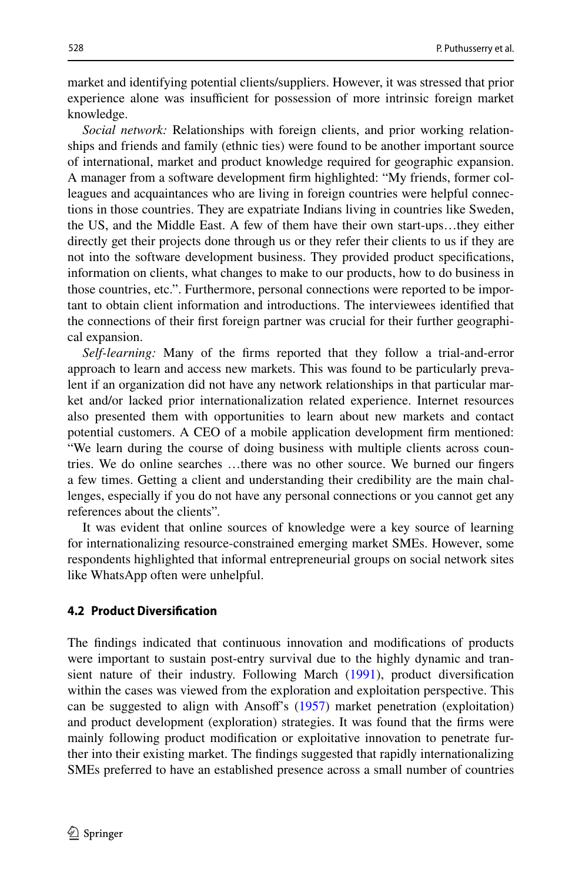market and identifying potential clients/suppliers. However, it was stressed that prior experience alone was insufficient for possession of more intrinsic foreign market knowledge.

*Social network:* Relationships with foreign clients, and prior working relationships and friends and family (ethnic ties) were found to be another important source of international, market and product knowledge required for geographic expansion. A manager from a software development frm highlighted: "My friends, former colleagues and acquaintances who are living in foreign countries were helpful connections in those countries. They are expatriate Indians living in countries like Sweden, the US, and the Middle East. A few of them have their own start-ups…they either directly get their projects done through us or they refer their clients to us if they are not into the software development business. They provided product specifcations, information on clients, what changes to make to our products, how to do business in those countries, etc.". Furthermore, personal connections were reported to be important to obtain client information and introductions. The interviewees identifed that the connections of their frst foreign partner was crucial for their further geographical expansion.

*Self-learning:* Many of the frms reported that they follow a trial-and-error approach to learn and access new markets. This was found to be particularly prevalent if an organization did not have any network relationships in that particular market and/or lacked prior internationalization related experience. Internet resources also presented them with opportunities to learn about new markets and contact potential customers. A CEO of a mobile application development frm mentioned: "We learn during the course of doing business with multiple clients across countries. We do online searches …there was no other source. We burned our fngers a few times. Getting a client and understanding their credibility are the main challenges, especially if you do not have any personal connections or you cannot get any references about the clients"*.*

It was evident that online sources of knowledge were a key source of learning for internationalizing resource-constrained emerging market SMEs. However, some respondents highlighted that informal entrepreneurial groups on social network sites like WhatsApp often were unhelpful.

#### **4.2 Product Diversifcation**

The fndings indicated that continuous innovation and modifcations of products were important to sustain post-entry survival due to the highly dynamic and transient nature of their industry. Following March [\(1991](#page-27-9)), product diversifcation within the cases was viewed from the exploration and exploitation perspective. This can be suggested to align with Ansof's ([1957\)](#page-24-2) market penetration (exploitation) and product development (exploration) strategies. It was found that the frms were mainly following product modifcation or exploitative innovation to penetrate further into their existing market. The fndings suggested that rapidly internationalizing SMEs preferred to have an established presence across a small number of countries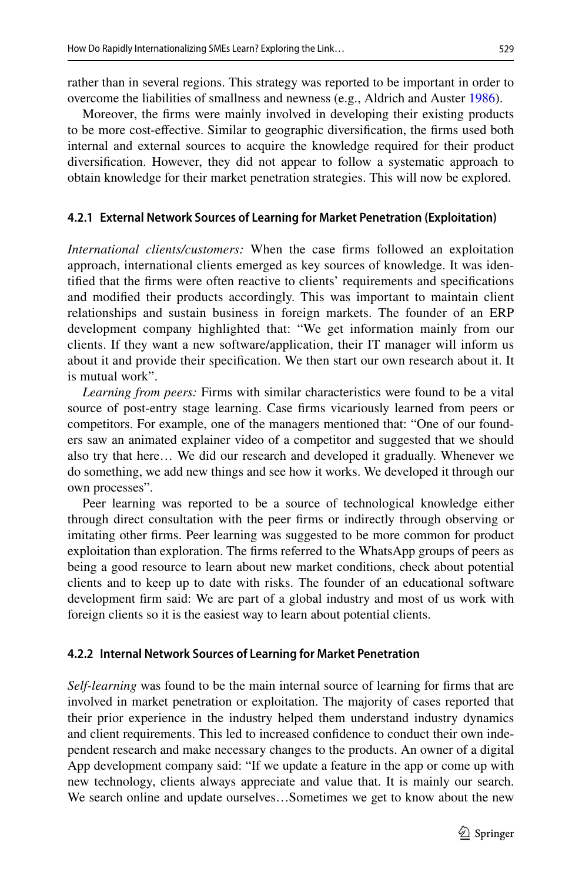rather than in several regions. This strategy was reported to be important in order to overcome the liabilities of smallness and newness (e.g., Aldrich and Auster [1986](#page-24-3)).

Moreover, the frms were mainly involved in developing their existing products to be more cost-efective. Similar to geographic diversifcation, the frms used both internal and external sources to acquire the knowledge required for their product diversifcation. However, they did not appear to follow a systematic approach to obtain knowledge for their market penetration strategies. This will now be explored.

#### **4.2.1 External Network Sources of Learning for Market Penetration (Exploitation)**

*International clients/customers:* When the case frms followed an exploitation approach, international clients emerged as key sources of knowledge. It was identifed that the frms were often reactive to clients' requirements and specifcations and modifed their products accordingly. This was important to maintain client relationships and sustain business in foreign markets. The founder of an ERP development company highlighted that: "We get information mainly from our clients. If they want a new software/application, their IT manager will inform us about it and provide their specifcation. We then start our own research about it. It is mutual work".

*Learning from peers:* Firms with similar characteristics were found to be a vital source of post-entry stage learning. Case frms vicariously learned from peers or competitors. For example, one of the managers mentioned that: "One of our founders saw an animated explainer video of a competitor and suggested that we should also try that here… We did our research and developed it gradually. Whenever we do something, we add new things and see how it works. We developed it through our own processes".

Peer learning was reported to be a source of technological knowledge either through direct consultation with the peer frms or indirectly through observing or imitating other frms. Peer learning was suggested to be more common for product exploitation than exploration. The frms referred to the WhatsApp groups of peers as being a good resource to learn about new market conditions, check about potential clients and to keep up to date with risks. The founder of an educational software development frm said: We are part of a global industry and most of us work with foreign clients so it is the easiest way to learn about potential clients.

#### **4.2.2 Internal Network Sources of Learning for Market Penetration**

*Self-learning* was found to be the main internal source of learning for frms that are involved in market penetration or exploitation. The majority of cases reported that their prior experience in the industry helped them understand industry dynamics and client requirements. This led to increased confdence to conduct their own independent research and make necessary changes to the products. An owner of a digital App development company said: "If we update a feature in the app or come up with new technology, clients always appreciate and value that. It is mainly our search. We search online and update ourselves…Sometimes we get to know about the new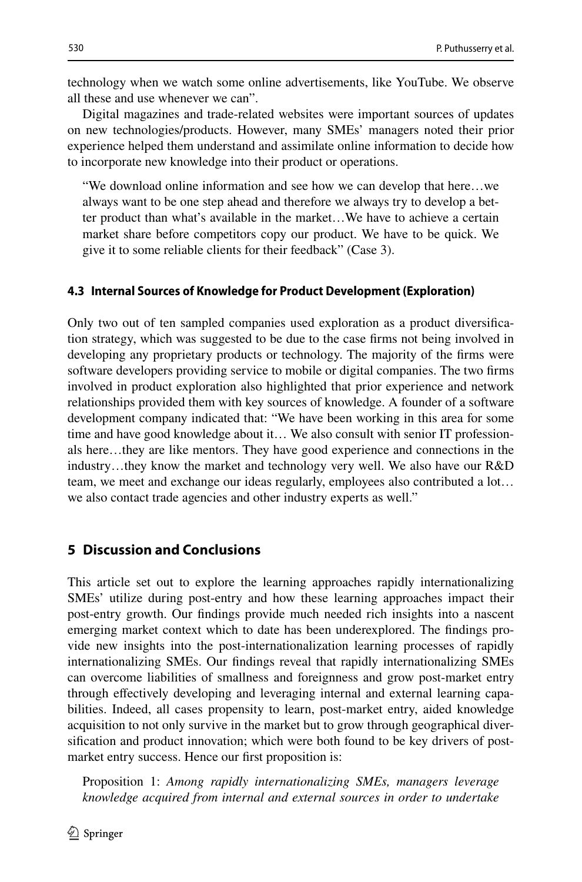technology when we watch some online advertisements, like YouTube. We observe all these and use whenever we can".

Digital magazines and trade-related websites were important sources of updates on new technologies/products. However, many SMEs' managers noted their prior experience helped them understand and assimilate online information to decide how to incorporate new knowledge into their product or operations.

"We download online information and see how we can develop that here…we always want to be one step ahead and therefore we always try to develop a better product than what's available in the market…We have to achieve a certain market share before competitors copy our product. We have to be quick. We give it to some reliable clients for their feedback" (Case 3).

#### **4.3 Internal Sources of Knowledge for Product Development (Exploration)**

Only two out of ten sampled companies used exploration as a product diversifcation strategy, which was suggested to be due to the case frms not being involved in developing any proprietary products or technology. The majority of the frms were software developers providing service to mobile or digital companies. The two frms involved in product exploration also highlighted that prior experience and network relationships provided them with key sources of knowledge. A founder of a software development company indicated that: "We have been working in this area for some time and have good knowledge about it… We also consult with senior IT professionals here…they are like mentors. They have good experience and connections in the industry…they know the market and technology very well. We also have our R&D team, we meet and exchange our ideas regularly, employees also contributed a lot… we also contact trade agencies and other industry experts as well."

## **5 Discussion and Conclusions**

This article set out to explore the learning approaches rapidly internationalizing SMEs' utilize during post-entry and how these learning approaches impact their post-entry growth. Our fndings provide much needed rich insights into a nascent emerging market context which to date has been underexplored. The fndings provide new insights into the post-internationalization learning processes of rapidly internationalizing SMEs. Our fndings reveal that rapidly internationalizing SMEs can overcome liabilities of smallness and foreignness and grow post-market entry through efectively developing and leveraging internal and external learning capabilities. Indeed, all cases propensity to learn, post-market entry, aided knowledge acquisition to not only survive in the market but to grow through geographical diversifcation and product innovation; which were both found to be key drivers of postmarket entry success. Hence our frst proposition is:

Proposition 1: *Among rapidly internationalizing SMEs, managers leverage knowledge acquired from internal and external sources in order to undertake*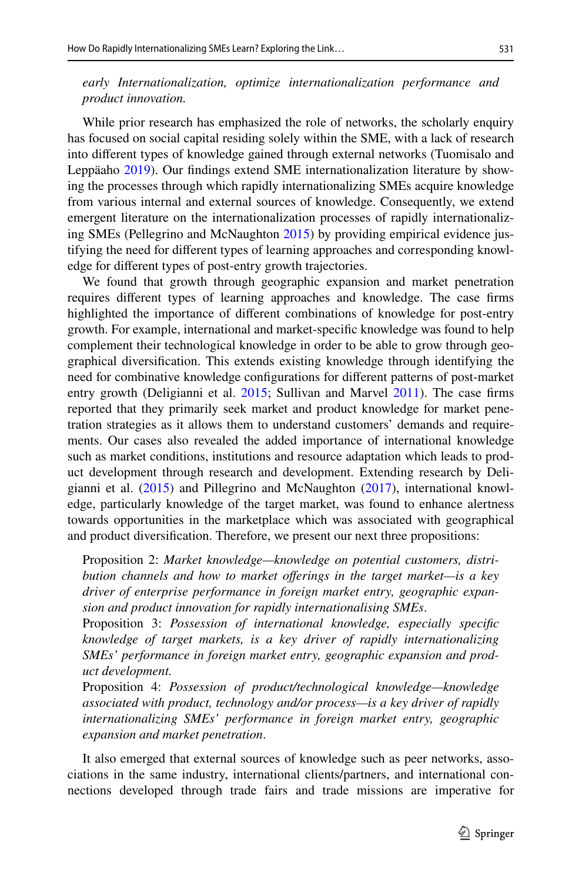*early Internationalization, optimize internationalization performance and product innovation.*

While prior research has emphasized the role of networks, the scholarly enquiry has focused on social capital residing solely within the SME, with a lack of research into diferent types of knowledge gained through external networks (Tuomisalo and Leppäaho [2019\)](#page-28-3). Our fndings extend SME internationalization literature by showing the processes through which rapidly internationalizing SMEs acquire knowledge from various internal and external sources of knowledge. Consequently, we extend emergent literature on the internationalization processes of rapidly internationalizing SMEs (Pellegrino and McNaughton [2015](#page-28-10)) by providing empirical evidence justifying the need for diferent types of learning approaches and corresponding knowledge for diferent types of post-entry growth trajectories.

We found that growth through geographic expansion and market penetration requires diferent types of learning approaches and knowledge. The case frms highlighted the importance of diferent combinations of knowledge for post-entry growth. For example, international and market-specifc knowledge was found to help complement their technological knowledge in order to be able to grow through geographical diversifcation. This extends existing knowledge through identifying the need for combinative knowledge confgurations for diferent patterns of post-market entry growth (Deligianni et al. [2015](#page-25-5); Sullivan and Marvel [2011](#page-28-6)). The case firms reported that they primarily seek market and product knowledge for market penetration strategies as it allows them to understand customers' demands and requirements. Our cases also revealed the added importance of international knowledge such as market conditions, institutions and resource adaptation which leads to product development through research and development. Extending research by Deligianni et al. [\(2015](#page-25-5)) and Pillegrino and McNaughton ([2017\)](#page-28-7), international knowledge, particularly knowledge of the target market, was found to enhance alertness towards opportunities in the marketplace which was associated with geographical and product diversifcation. Therefore, we present our next three propositions:

Proposition 2: *Market knowledge—knowledge on potential customers, distribution channels and how to market oferings in the target market—is a key driver of enterprise performance in foreign market entry, geographic expansion and product innovation for rapidly internationalising SMEs*.

Proposition 3: *Possession of international knowledge, especially specifc knowledge of target markets, is a key driver of rapidly internationalizing SMEs' performance in foreign market entry, geographic expansion and product development.*

Proposition 4: *Possession of product/technological knowledge—knowledge associated with product, technology and/or process—is a key driver of rapidly internationalizing SMEs' performance in foreign market entry, geographic expansion and market penetration*.

It also emerged that external sources of knowledge such as peer networks, associations in the same industry, international clients/partners, and international connections developed through trade fairs and trade missions are imperative for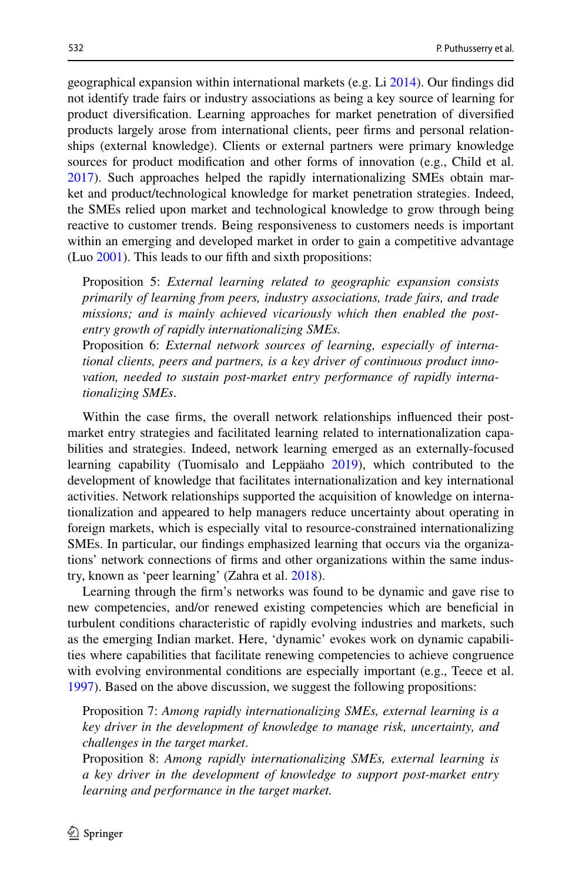geographical expansion within international markets (e.g. Li [2014\)](#page-27-16). Our fndings did not identify trade fairs or industry associations as being a key source of learning for product diversifcation. Learning approaches for market penetration of diversifed products largely arose from international clients, peer frms and personal relationships (external knowledge). Clients or external partners were primary knowledge sources for product modifcation and other forms of innovation (e.g., Child et al. [2017](#page-25-10)). Such approaches helped the rapidly internationalizing SMEs obtain market and product/technological knowledge for market penetration strategies. Indeed, the SMEs relied upon market and technological knowledge to grow through being reactive to customer trends. Being responsiveness to customers needs is important within an emerging and developed market in order to gain a competitive advantage (Luo [2001\)](#page-27-25). This leads to our ffth and sixth propositions:

Proposition 5: *External learning related to geographic expansion consists primarily of learning from peers, industry associations, trade fairs, and trade missions; and is mainly achieved vicariously which then enabled the postentry growth of rapidly internationalizing SMEs.*

Proposition 6: *External network sources of learning, especially of international clients, peers and partners, is a key driver of continuous product innovation, needed to sustain post-market entry performance of rapidly internationalizing SMEs*.

Within the case frms, the overall network relationships infuenced their postmarket entry strategies and facilitated learning related to internationalization capabilities and strategies. Indeed, network learning emerged as an externally-focused learning capability (Tuomisalo and Leppäaho [2019](#page-28-3)), which contributed to the development of knowledge that facilitates internationalization and key international activities. Network relationships supported the acquisition of knowledge on internationalization and appeared to help managers reduce uncertainty about operating in foreign markets, which is especially vital to resource-constrained internationalizing SMEs. In particular, our fndings emphasized learning that occurs via the organizations' network connections of frms and other organizations within the same industry, known as 'peer learning' (Zahra et al. [2018\)](#page-28-21).

Learning through the frm's networks was found to be dynamic and gave rise to new competencies, and/or renewed existing competencies which are benefcial in turbulent conditions characteristic of rapidly evolving industries and markets, such as the emerging Indian market. Here, 'dynamic' evokes work on dynamic capabilities where capabilities that facilitate renewing competencies to achieve congruence with evolving environmental conditions are especially important (e.g., Teece et al. [1997](#page-28-11)). Based on the above discussion, we suggest the following propositions:

Proposition 7: *Among rapidly internationalizing SMEs, external learning is a key driver in the development of knowledge to manage risk, uncertainty, and challenges in the target market*.

Proposition 8: *Among rapidly internationalizing SMEs, external learning is a key driver in the development of knowledge to support post-market entry learning and performance in the target market.*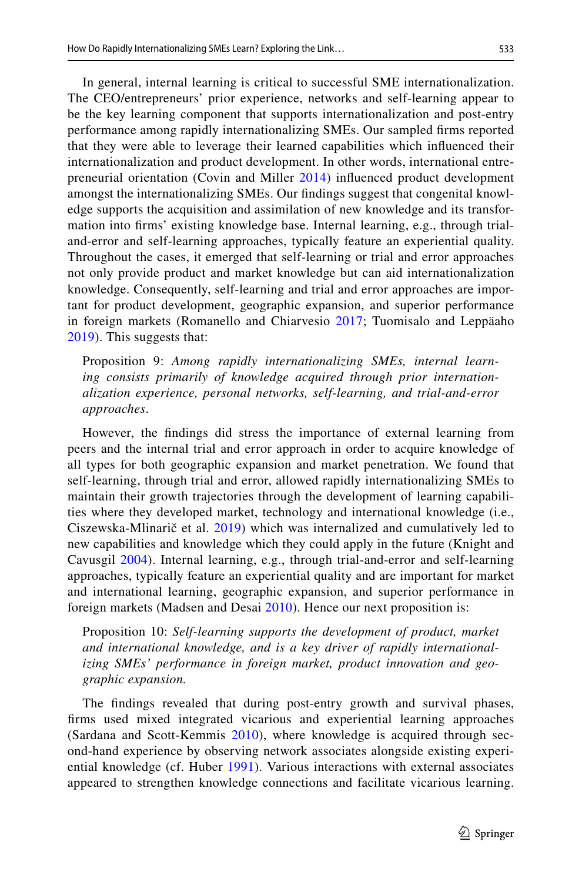In general, internal learning is critical to successful SME internationalization. The CEO/entrepreneurs' prior experience, networks and self-learning appear to be the key learning component that supports internationalization and post-entry performance among rapidly internationalizing SMEs. Our sampled frms reported that they were able to leverage their learned capabilities which infuenced their internationalization and product development. In other words, international entrepreneurial orientation (Covin and Miller [2014\)](#page-25-23) infuenced product development amongst the internationalizing SMEs. Our fndings suggest that congenital knowledge supports the acquisition and assimilation of new knowledge and its transformation into frms' existing knowledge base. Internal learning, e.g., through trialand-error and self-learning approaches, typically feature an experiential quality. Throughout the cases, it emerged that self-learning or trial and error approaches not only provide product and market knowledge but can aid internationalization knowledge. Consequently, self-learning and trial and error approaches are important for product development, geographic expansion, and superior performance in foreign markets (Romanello and Chiarvesio [2017](#page-28-12); Tuomisalo and Leppäaho [2019\)](#page-28-3). This suggests that:

Proposition 9: *Among rapidly internationalizing SMEs, internal learning consists primarily of knowledge acquired through prior internationalization experience, personal networks, self-learning, and trial-and-error approaches*.

However, the fndings did stress the importance of external learning from peers and the internal trial and error approach in order to acquire knowledge of all types for both geographic expansion and market penetration. We found that self-learning, through trial and error, allowed rapidly internationalizing SMEs to maintain their growth trajectories through the development of learning capabilities where they developed market, technology and international knowledge (i.e., Ciszewska-Mlinarič et al. [2019](#page-25-16)) which was internalized and cumulatively led to new capabilities and knowledge which they could apply in the future (Knight and Cavusgil [2004\)](#page-27-1). Internal learning, e.g., through trial-and-error and self-learning approaches, typically feature an experiential quality and are important for market and international learning, geographic expansion, and superior performance in foreign markets (Madsen and Desai [2010\)](#page-27-4). Hence our next proposition is:

Proposition 10: *Self-learning supports the development of product, market and international knowledge, and is a key driver of rapidly internationalizing SMEs' performance in foreign market, product innovation and geographic expansion.*

The fndings revealed that during post-entry growth and survival phases, frms used mixed integrated vicarious and experiential learning approaches (Sardana and Scott-Kemmis [2010](#page-28-22)), where knowledge is acquired through second-hand experience by observing network associates alongside existing experiential knowledge (cf. Huber [1991](#page-26-11)). Various interactions with external associates appeared to strengthen knowledge connections and facilitate vicarious learning.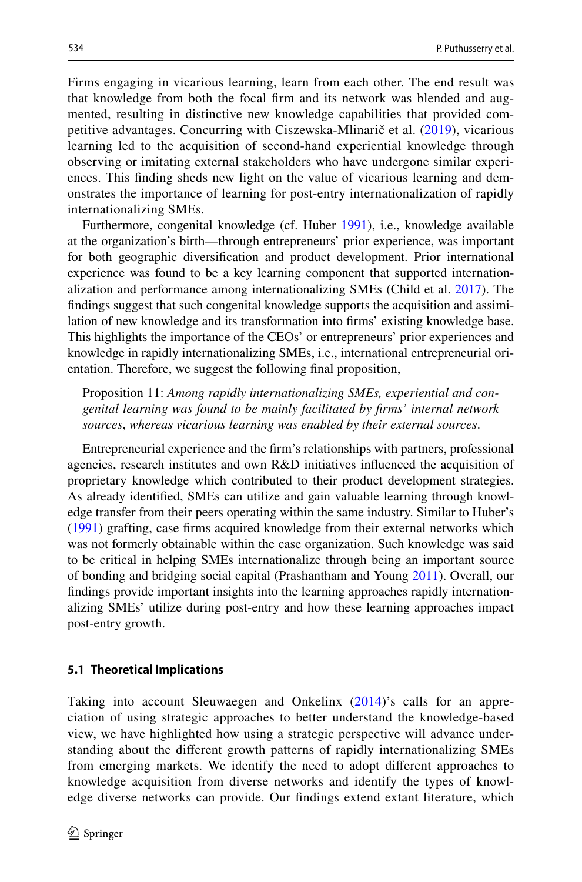Firms engaging in vicarious learning, learn from each other. The end result was that knowledge from both the focal frm and its network was blended and augmented, resulting in distinctive new knowledge capabilities that provided competitive advantages. Concurring with Ciszewska-Mlinarič et al. ([2019](#page-25-16)), vicarious learning led to the acquisition of second-hand experiential knowledge through observing or imitating external stakeholders who have undergone similar experiences. This fnding sheds new light on the value of vicarious learning and demonstrates the importance of learning for post-entry internationalization of rapidly internationalizing SMEs.

Furthermore, congenital knowledge (cf. Huber [1991\)](#page-26-11), i.e., knowledge available at the organization's birth—through entrepreneurs' prior experience, was important for both geographic diversifcation and product development. Prior international experience was found to be a key learning component that supported internationalization and performance among internationalizing SMEs (Child et al. [2017\)](#page-25-10). The fndings suggest that such congenital knowledge supports the acquisition and assimilation of new knowledge and its transformation into frms' existing knowledge base. This highlights the importance of the CEOs' or entrepreneurs' prior experiences and knowledge in rapidly internationalizing SMEs, i.e., international entrepreneurial orientation. Therefore, we suggest the following fnal proposition,

Proposition 11: *Among rapidly internationalizing SMEs, experiential and congenital learning was found to be mainly facilitated by frms' internal network sources*, *whereas vicarious learning was enabled by their external sources*.

Entrepreneurial experience and the frm's relationships with partners, professional agencies, research institutes and own R&D initiatives infuenced the acquisition of proprietary knowledge which contributed to their product development strategies. As already identifed, SMEs can utilize and gain valuable learning through knowledge transfer from their peers operating within the same industry. Similar to Huber's [\(1991](#page-26-11)) grafting, case frms acquired knowledge from their external networks which was not formerly obtainable within the case organization. Such knowledge was said to be critical in helping SMEs internationalize through being an important source of bonding and bridging social capital (Prashantham and Young [2011](#page-28-23)). Overall, our fndings provide important insights into the learning approaches rapidly internationalizing SMEs' utilize during post-entry and how these learning approaches impact post-entry growth.

#### **5.1 Theoretical Implications**

Taking into account Sleuwaegen and Onkelinx ([2014](#page-28-4))'s calls for an appreciation of using strategic approaches to better understand the knowledge-based view, we have highlighted how using a strategic perspective will advance understanding about the diferent growth patterns of rapidly internationalizing SMEs from emerging markets. We identify the need to adopt diferent approaches to knowledge acquisition from diverse networks and identify the types of knowledge diverse networks can provide. Our fndings extend extant literature, which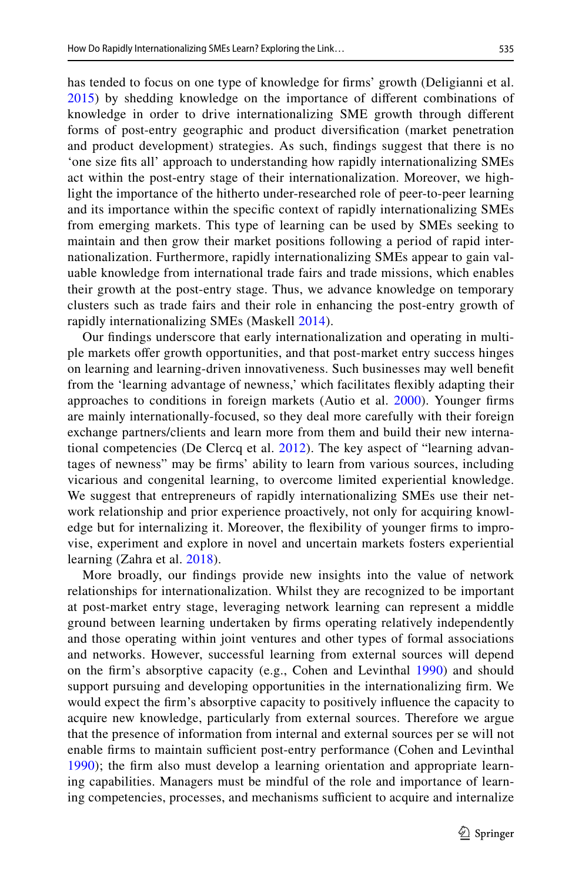has tended to focus on one type of knowledge for frms' growth (Deligianni et al. [2015\)](#page-25-5) by shedding knowledge on the importance of diferent combinations of knowledge in order to drive internationalizing SME growth through diferent forms of post-entry geographic and product diversifcation (market penetration and product development) strategies. As such, fndings suggest that there is no 'one size fts all' approach to understanding how rapidly internationalizing SMEs act within the post-entry stage of their internationalization. Moreover, we highlight the importance of the hitherto under-researched role of peer-to-peer learning and its importance within the specifc context of rapidly internationalizing SMEs from emerging markets. This type of learning can be used by SMEs seeking to maintain and then grow their market positions following a period of rapid internationalization. Furthermore, rapidly internationalizing SMEs appear to gain valuable knowledge from international trade fairs and trade missions, which enables their growth at the post-entry stage. Thus, we advance knowledge on temporary clusters such as trade fairs and their role in enhancing the post-entry growth of rapidly internationalizing SMEs (Maskell [2014](#page-27-17)).

Our fndings underscore that early internationalization and operating in multiple markets ofer growth opportunities, and that post-market entry success hinges on learning and learning-driven innovativeness. Such businesses may well beneft from the 'learning advantage of newness,' which facilitates fexibly adapting their approaches to conditions in foreign markets (Autio et al. [2000](#page-25-8)). Younger frms are mainly internationally-focused, so they deal more carefully with their foreign exchange partners/clients and learn more from them and build their new international competencies (De Clercq et al. [2012](#page-25-7)). The key aspect of "learning advantages of newness" may be frms' ability to learn from various sources, including vicarious and congenital learning, to overcome limited experiential knowledge. We suggest that entrepreneurs of rapidly internationalizing SMEs use their network relationship and prior experience proactively, not only for acquiring knowledge but for internalizing it. Moreover, the fexibility of younger frms to improvise, experiment and explore in novel and uncertain markets fosters experiential learning (Zahra et al. [2018](#page-28-21)).

More broadly, our fndings provide new insights into the value of network relationships for internationalization. Whilst they are recognized to be important at post-market entry stage, leveraging network learning can represent a middle ground between learning undertaken by frms operating relatively independently and those operating within joint ventures and other types of formal associations and networks. However, successful learning from external sources will depend on the frm's absorptive capacity (e.g., Cohen and Levinthal [1990\)](#page-25-2) and should support pursuing and developing opportunities in the internationalizing frm. We would expect the frm's absorptive capacity to positively infuence the capacity to acquire new knowledge, particularly from external sources. Therefore we argue that the presence of information from internal and external sources per se will not enable firms to maintain sufficient post-entry performance (Cohen and Levinthal [1990\)](#page-25-2); the frm also must develop a learning orientation and appropriate learning capabilities. Managers must be mindful of the role and importance of learning competencies, processes, and mechanisms sufficient to acquire and internalize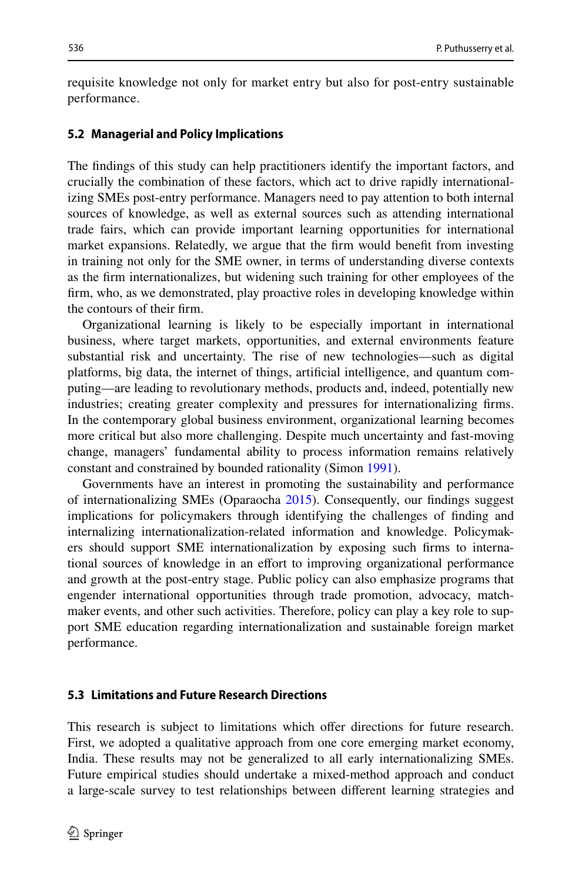requisite knowledge not only for market entry but also for post-entry sustainable performance.

#### **5.2 Managerial and Policy Implications**

The fndings of this study can help practitioners identify the important factors, and crucially the combination of these factors, which act to drive rapidly internationalizing SMEs post-entry performance. Managers need to pay attention to both internal sources of knowledge, as well as external sources such as attending international trade fairs, which can provide important learning opportunities for international market expansions. Relatedly, we argue that the frm would beneft from investing in training not only for the SME owner, in terms of understanding diverse contexts as the frm internationalizes, but widening such training for other employees of the frm, who, as we demonstrated, play proactive roles in developing knowledge within the contours of their frm.

Organizational learning is likely to be especially important in international business, where target markets, opportunities, and external environments feature substantial risk and uncertainty. The rise of new technologies—such as digital platforms, big data, the internet of things, artifcial intelligence, and quantum computing—are leading to revolutionary methods, products and, indeed, potentially new industries; creating greater complexity and pressures for internationalizing frms. In the contemporary global business environment, organizational learning becomes more critical but also more challenging. Despite much uncertainty and fast-moving change, managers' fundamental ability to process information remains relatively constant and constrained by bounded rationality (Simon [1991](#page-28-24)).

Governments have an interest in promoting the sustainability and performance of internationalizing SMEs (Oparaocha [2015\)](#page-27-26). Consequently, our fndings suggest implications for policymakers through identifying the challenges of fnding and internalizing internationalization-related information and knowledge. Policymakers should support SME internationalization by exposing such frms to international sources of knowledge in an efort to improving organizational performance and growth at the post-entry stage. Public policy can also emphasize programs that engender international opportunities through trade promotion, advocacy, matchmaker events, and other such activities. Therefore, policy can play a key role to support SME education regarding internationalization and sustainable foreign market performance.

#### **5.3 Limitations and Future Research Directions**

This research is subject to limitations which ofer directions for future research. First, we adopted a qualitative approach from one core emerging market economy, India. These results may not be generalized to all early internationalizing SMEs. Future empirical studies should undertake a mixed-method approach and conduct a large-scale survey to test relationships between diferent learning strategies and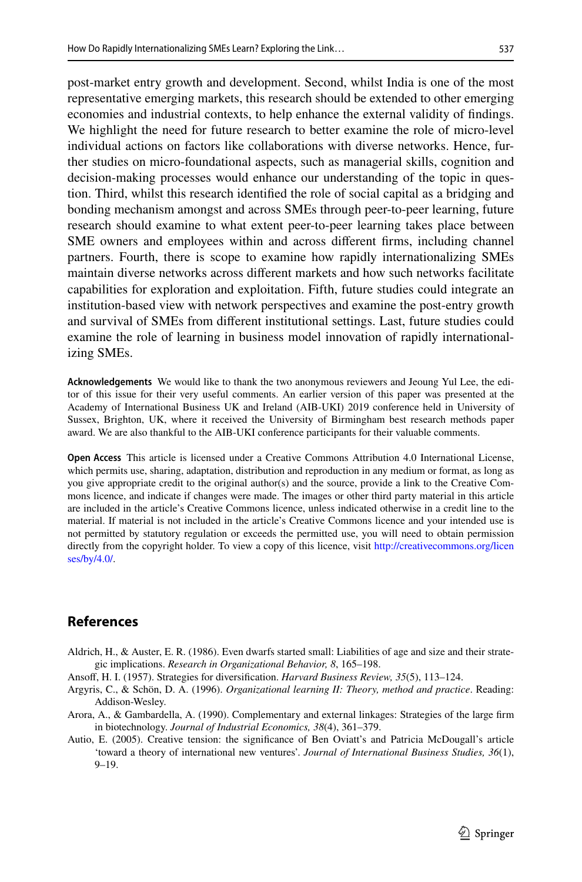post-market entry growth and development. Second, whilst India is one of the most representative emerging markets, this research should be extended to other emerging economies and industrial contexts, to help enhance the external validity of fndings. We highlight the need for future research to better examine the role of micro-level individual actions on factors like collaborations with diverse networks. Hence, further studies on micro-foundational aspects, such as managerial skills, cognition and decision-making processes would enhance our understanding of the topic in question. Third, whilst this research identifed the role of social capital as a bridging and bonding mechanism amongst and across SMEs through peer-to-peer learning, future research should examine to what extent peer-to-peer learning takes place between SME owners and employees within and across diferent frms, including channel partners. Fourth, there is scope to examine how rapidly internationalizing SMEs maintain diverse networks across diferent markets and how such networks facilitate capabilities for exploration and exploitation. Fifth, future studies could integrate an institution-based view with network perspectives and examine the post-entry growth and survival of SMEs from diferent institutional settings. Last, future studies could examine the role of learning in business model innovation of rapidly internationalizing SMEs.

**Acknowledgements** We would like to thank the two anonymous reviewers and Jeoung Yul Lee, the editor of this issue for their very useful comments. An earlier version of this paper was presented at the Academy of International Business UK and Ireland (AIB-UKI) 2019 conference held in University of Sussex, Brighton, UK, where it received the University of Birmingham best research methods paper award. We are also thankful to the AIB-UKI conference participants for their valuable comments.

**Open Access** This article is licensed under a Creative Commons Attribution 4.0 International License, which permits use, sharing, adaptation, distribution and reproduction in any medium or format, as long as you give appropriate credit to the original author(s) and the source, provide a link to the Creative Commons licence, and indicate if changes were made. The images or other third party material in this article are included in the article's Creative Commons licence, unless indicated otherwise in a credit line to the material. If material is not included in the article's Creative Commons licence and your intended use is not permitted by statutory regulation or exceeds the permitted use, you will need to obtain permission directly from the copyright holder. To view a copy of this licence, visit [http://creativecommons.org/licen](http://creativecommons.org/licenses/by/4.0/) [ses/by/4.0/](http://creativecommons.org/licenses/by/4.0/).

## **References**

- <span id="page-24-3"></span>Aldrich, H., & Auster, E. R. (1986). Even dwarfs started small: Liabilities of age and size and their strategic implications. *Research in Organizational Behavior, 8*, 165–198.
- <span id="page-24-2"></span>Ansof, H. I. (1957). Strategies for diversifcation. *Harvard Business Review, 35*(5), 113–124.
- Argyris, C., & Schön, D. A. (1996). *Organizational learning II: Theory, method and practice*. Reading: Addison-Wesley.
- <span id="page-24-1"></span>Arora, A., & Gambardella, A. (1990). Complementary and external linkages: Strategies of the large frm in biotechnology. *Journal of Industrial Economics, 38*(4), 361–379.
- <span id="page-24-0"></span>Autio, E. (2005). Creative tension: the signifcance of Ben Oviatt's and Patricia McDougall's article 'toward a theory of international new ventures'. *Journal of International Business Studies, 36*(1), 9–19.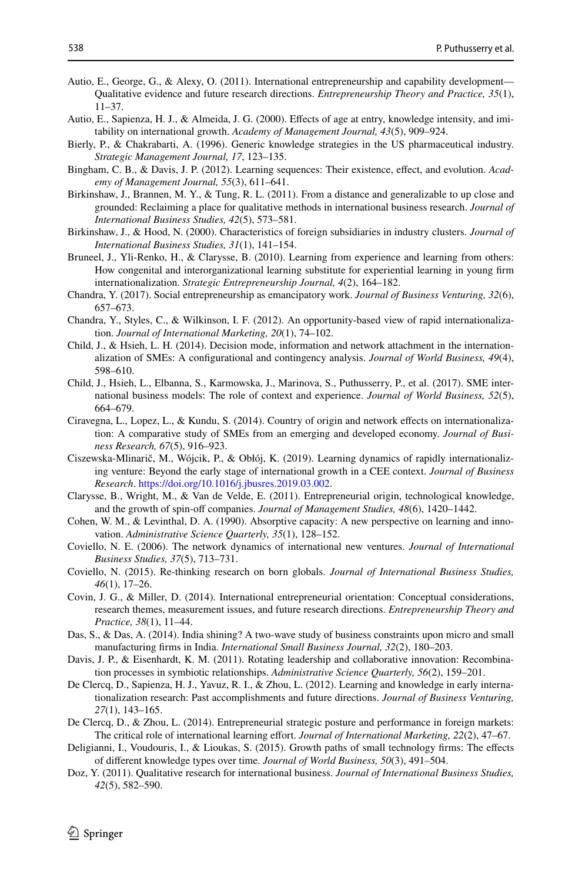- <span id="page-25-11"></span>Autio, E., George, G., & Alexy, O. (2011). International entrepreneurship and capability development— Qualitative evidence and future research directions. *Entrepreneurship Theory and Practice, 35*(1), 11–37.
- <span id="page-25-8"></span>Autio, E., Sapienza, H. J., & Almeida, J. G. (2000). Efects of age at entry, knowledge intensity, and imitability on international growth. *Academy of Management Journal, 43*(5), 909–924.
- <span id="page-25-3"></span>Bierly, P., & Chakrabarti, A. (1996). Generic knowledge strategies in the US pharmaceutical industry. *Strategic Management Journal, 17*, 123–135.
- <span id="page-25-13"></span>Bingham, C. B., & Davis, J. P. (2012). Learning sequences: Their existence, efect, and evolution. *Academy of Management Journal, 55*(3), 611–641.
- <span id="page-25-21"></span>Birkinshaw, J., Brannen, M. Y., & Tung, R. L. (2011). From a distance and generalizable to up close and grounded: Reclaiming a place for qualitative methods in international business research. *Journal of International Business Studies, 42*(5), 573–581.
- <span id="page-25-19"></span>Birkinshaw, J., & Hood, N. (2000). Characteristics of foreign subsidiaries in industry clusters. *Journal of International Business Studies, 31*(1), 141–154.
- <span id="page-25-6"></span>Bruneel, J., Yli-Renko, H., & Clarysse, B. (2010). Learning from experience and learning from others: How congenital and interorganizational learning substitute for experiential learning in young frm internationalization. *Strategic Entrepreneurship Journal, 4*(2), 164–182.
- <span id="page-25-12"></span>Chandra, Y. (2017). Social entrepreneurship as emancipatory work. *Journal of Business Venturing, 32*(6), 657–673.
- <span id="page-25-15"></span>Chandra, Y., Styles, C., & Wilkinson, I. F. (2012). An opportunity-based view of rapid internationalization. *Journal of International Marketing, 20*(1), 74–102.
- <span id="page-25-18"></span>Child, J., & Hsieh, L. H. (2014). Decision mode, information and network attachment in the internationalization of SMEs: A confgurational and contingency analysis. *Journal of World Business, 49*(4), 598–610.
- <span id="page-25-10"></span>Child, J., Hsieh, L., Elbanna, S., Karmowska, J., Marinova, S., Puthusserry, P., et al. (2017). SME international business models: The role of context and experience. *Journal of World Business, 52*(5), 664–679.
- <span id="page-25-17"></span>Ciravegna, L., Lopez, L., & Kundu, S. (2014). Country of origin and network efects on internationalization: A comparative study of SMEs from an emerging and developed economy. *Journal of Business Research, 67*(5), 916–923.
- <span id="page-25-16"></span>Ciszewska-Mlinarič, M., Wójcik, P., & Obłój, K. (2019). Learning dynamics of rapidly internationalizing venture: Beyond the early stage of international growth in a CEE context. *Journal of Business Research*. <https://doi.org/10.1016/j.jbusres.2019.03.002>.
- <span id="page-25-9"></span>Clarysse, B., Wright, M., & Van de Velde, E. (2011). Entrepreneurial origin, technological knowledge, and the growth of spin-off companies. *Journal of Management Studies*, 48(6), 1420–1442.
- <span id="page-25-2"></span>Cohen, W. M., & Levinthal, D. A. (1990). Absorptive capacity: A new perspective on learning and innovation. *Administrative Science Quarterly, 35*(1), 128–152.
- <span id="page-25-1"></span>Coviello, N. E. (2006). The network dynamics of international new ventures. *Journal of International Business Studies, 37*(5), 713–731.
- <span id="page-25-0"></span>Coviello, N. (2015). Re-thinking research on born globals. *Journal of International Business Studies, 46*(1), 17–26.
- <span id="page-25-23"></span>Covin, J. G., & Miller, D. (2014). International entrepreneurial orientation: Conceptual considerations, research themes, measurement issues, and future research directions. *Entrepreneurship Theory and Practice, 38*(1), 11–44.
- <span id="page-25-4"></span>Das, S., & Das, A. (2014). India shining? A two-wave study of business constraints upon micro and small manufacturing frms in India. *International Small Business Journal, 32*(2), 180–203.
- <span id="page-25-20"></span>Davis, J. P., & Eisenhardt, K. M. (2011). Rotating leadership and collaborative innovation: Recombination processes in symbiotic relationships. *Administrative Science Quarterly, 56*(2), 159–201.
- <span id="page-25-7"></span>De Clercq, D., Sapienza, H. J., Yavuz, R. I., & Zhou, L. (2012). Learning and knowledge in early internationalization research: Past accomplishments and future directions. *Journal of Business Venturing, 27*(1), 143–165.
- <span id="page-25-14"></span>De Clercq, D., & Zhou, L. (2014). Entrepreneurial strategic posture and performance in foreign markets: The critical role of international learning efort. *Journal of International Marketing, 22*(2), 47–67.
- <span id="page-25-5"></span>Deligianni, I., Voudouris, I., & Lioukas, S. (2015). Growth paths of small technology frms: The efects of diferent knowledge types over time. *Journal of World Business, 50*(3), 491–504.
- <span id="page-25-22"></span>Doz, Y. (2011). Qualitative research for international business. *Journal of International Business Studies, 42*(5), 582–590.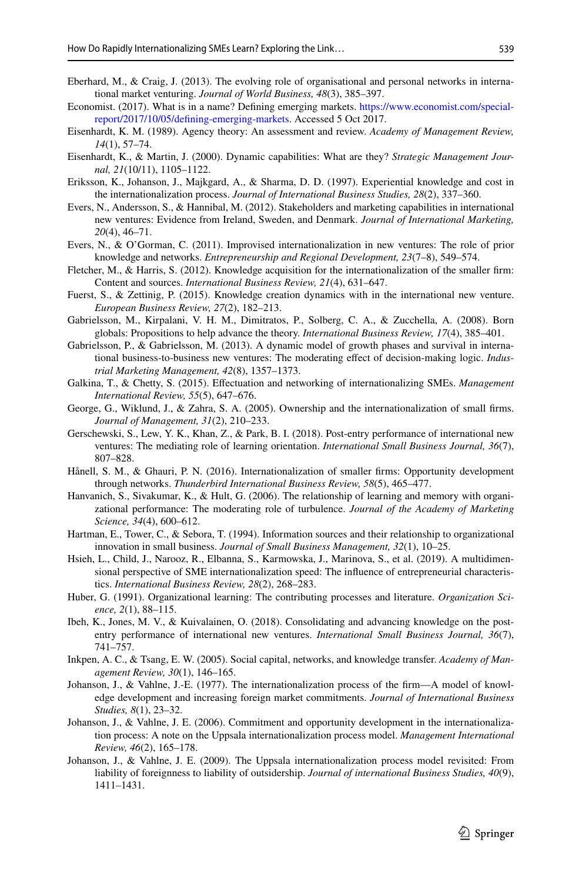- <span id="page-26-6"></span>Eberhard, M., & Craig, J. (2013). The evolving role of organisational and personal networks in international market venturing. *Journal of World Business, 48*(3), 385–397.
- <span id="page-26-10"></span>Economist. (2017). What is in a name? Defning emerging markets. [https://www.economist.com/special](https://www.economist.com/special-report/2017/10/05/defining-emerging-markets)[report/2017/10/05/defning-emerging-markets](https://www.economist.com/special-report/2017/10/05/defining-emerging-markets). Accessed 5 Oct 2017.
- <span id="page-26-22"></span>Eisenhardt, K. M. (1989). Agency theory: An assessment and review. *Academy of Management Review, 14*(1), 57–74.
- <span id="page-26-16"></span>Eisenhardt, K., & Martin, J. (2000). Dynamic capabilities: What are they? *Strategic Management Journal, 21*(10/11), 1105–1122.
- <span id="page-26-14"></span>Eriksson, K., Johanson, J., Majkgard, A., & Sharma, D. D. (1997). Experiential knowledge and cost in the internationalization process. *Journal of International Business Studies, 28*(2), 337–360.
- <span id="page-26-17"></span>Evers, N., Andersson, S., & Hannibal, M. (2012). Stakeholders and marketing capabilities in international new ventures: Evidence from Ireland, Sweden, and Denmark. *Journal of International Marketing, 20*(4), 46–71.
- <span id="page-26-5"></span>Evers, N., & O'Gorman, C. (2011). Improvised internationalization in new ventures: The role of prior knowledge and networks. *Entrepreneurship and Regional Development, 23*(7–8), 549–574.
- <span id="page-26-4"></span>Fletcher, M., & Harris, S. (2012). Knowledge acquisition for the internationalization of the smaller frm: Content and sources. *International Business Review, 21*(4), 631–647.
- <span id="page-26-18"></span>Fuerst, S., & Zettinig, P. (2015). Knowledge creation dynamics with in the international new venture. *European Business Review, 27*(2), 182–213.
- Gabrielsson, M., Kirpalani, V. H. M., Dimitratos, P., Solberg, C. A., & Zucchella, A. (2008). Born globals: Propositions to help advance the theory. *International Business Review, 17*(4), 385–401.
- <span id="page-26-12"></span>Gabrielsson, P., & Gabrielsson, M. (2013). A dynamic model of growth phases and survival in international business-to-business new ventures: The moderating efect of decision-making logic. *Industrial Marketing Management, 42*(8), 1357–1373.
- <span id="page-26-2"></span>Galkina, T., & Chetty, S. (2015). Efectuation and networking of internationalizing SMEs. *Management International Review, 55*(5), 647–676.
- <span id="page-26-21"></span>George, G., Wiklund, J., & Zahra, S. A. (2005). Ownership and the internationalization of small frms. *Journal of Management, 31*(2), 210–233.
- <span id="page-26-0"></span>Gerschewski, S., Lew, Y. K., Khan, Z., & Park, B. I. (2018). Post-entry performance of international new ventures: The mediating role of learning orientation. *International Small Business Journal, 36*(7), 807–828.
- <span id="page-26-7"></span>Hånell, S. M., & Ghauri, P. N. (2016). Internationalization of smaller frms: Opportunity development through networks. *Thunderbird International Business Review, 58*(5), 465–477.
- <span id="page-26-15"></span>Hanvanich, S., Sivakumar, K., & Hult, G. (2006). The relationship of learning and memory with organizational performance: The moderating role of turbulence. *Journal of the Academy of Marketing Science, 34*(4), 600–612.
- <span id="page-26-9"></span>Hartman, E., Tower, C., & Sebora, T. (1994). Information sources and their relationship to organizational innovation in small business. *Journal of Small Business Management, 32*(1), 10–25.
- <span id="page-26-13"></span>Hsieh, L., Child, J., Narooz, R., Elbanna, S., Karmowska, J., Marinova, S., et al. (2019). A multidimensional perspective of SME internationalization speed: The infuence of entrepreneurial characteristics. *International Business Review, 28*(2), 268–283.
- <span id="page-26-11"></span>Huber, G. (1991). Organizational learning: The contributing processes and literature. *Organization Science, 2*(1), 88–115.
- <span id="page-26-8"></span>Ibeh, K., Jones, M. V., & Kuivalainen, O. (2018). Consolidating and advancing knowledge on the postentry performance of international new ventures. *International Small Business Journal, 36*(7), 741–757.
- <span id="page-26-19"></span>Inkpen, A. C., & Tsang, E. W. (2005). Social capital, networks, and knowledge transfer. *Academy of Management Review, 30*(1), 146–165.
- <span id="page-26-1"></span>Johanson, J., & Vahlne, J.-E. (1977). The internationalization process of the frm—A model of knowledge development and increasing foreign market commitments. *Journal of International Business Studies, 8*(1), 23–32.
- <span id="page-26-20"></span>Johanson, J., & Vahlne, J. E. (2006). Commitment and opportunity development in the internationalization process: A note on the Uppsala internationalization process model. *Management International Review, 46*(2), 165–178.
- <span id="page-26-3"></span>Johanson, J., & Vahlne, J. E. (2009). The Uppsala internationalization process model revisited: From liability of foreignness to liability of outsidership. *Journal of international Business Studies, 40*(9), 1411–1431.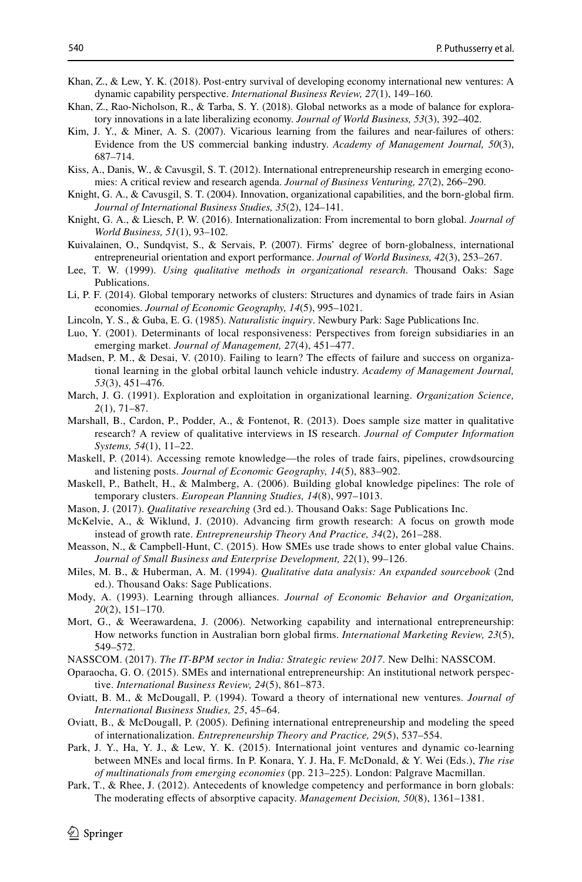- <span id="page-27-3"></span>Khan, Z., & Lew, Y. K. (2018). Post-entry survival of developing economy international new ventures: A dynamic capability perspective. *International Business Review, 27*(1), 149–160.
- <span id="page-27-5"></span>Khan, Z., Rao-Nicholson, R., & Tarba, S. Y. (2018). Global networks as a mode of balance for exploratory innovations in a late liberalizing economy. *Journal of World Business, 53*(3), 392–402.
- <span id="page-27-12"></span>Kim, J. Y., & Miner, A. S. (2007). Vicarious learning from the failures and near-failures of others: Evidence from the US commercial banking industry. *Academy of Management Journal, 50*(3), 687–714.
- <span id="page-27-8"></span>Kiss, A., Danis, W., & Cavusgil, S. T. (2012). International entrepreneurship research in emerging economies: A critical review and research agenda. *Journal of Business Venturing, 27*(2), 266–290.
- <span id="page-27-1"></span>Knight, G. A., & Cavusgil, S. T. (2004). Innovation, organizational capabilities, and the born-global frm. *Journal of International Business Studies, 35*(2), 124–141.
- <span id="page-27-2"></span>Knight, G. A., & Liesch, P. W. (2016). Internationalization: From incremental to born global. *Journal of World Business, 51*(1), 93–102.
- <span id="page-27-6"></span>Kuivalainen, O., Sundqvist, S., & Servais, P. (2007). Firms' degree of born-globalness, international entrepreneurial orientation and export performance. *Journal of World Business, 42*(3), 253–267.
- <span id="page-27-22"></span>Lee, T. W. (1999). *Using qualitative methods in organizational research*. Thousand Oaks: Sage Publications.
- <span id="page-27-16"></span>Li, P. F. (2014). Global temporary networks of clusters: Structures and dynamics of trade fairs in Asian economies. *Journal of Economic Geography, 14*(5), 995–1021.
- <span id="page-27-19"></span>Lincoln, Y. S., & Guba, E. G. (1985). *Naturalistic inquiry*. Newbury Park: Sage Publications Inc.
- <span id="page-27-25"></span>Luo, Y. (2001). Determinants of local responsiveness: Perspectives from foreign subsidiaries in an emerging market. *Journal of Management, 27*(4), 451–477.
- <span id="page-27-4"></span>Madsen, P. M., & Desai, V. (2010). Failing to learn? The effects of failure and success on organizational learning in the global orbital launch vehicle industry. *Academy of Management Journal, 53*(3), 451–476.
- <span id="page-27-9"></span>March, J. G. (1991). Exploration and exploitation in organizational learning. *Organization Science, 2*(1), 71–87.
- <span id="page-27-20"></span>Marshall, B., Cardon, P., Podder, A., & Fontenot, R. (2013). Does sample size matter in qualitative research? A review of qualitative interviews in IS research. *Journal of Computer Information Systems, 54*(1), 11–22.
- <span id="page-27-24"></span>Maskell, P. (2014). Accessing remote knowledge—the roles of trade fairs, pipelines, crowdsourcing and listening posts. *Journal of Economic Geography, 14*(5), 883–902.
- <span id="page-27-15"></span>Maskell, P., Bathelt, H., & Malmberg, A. (2006). Building global knowledge pipelines: The role of temporary clusters. *European Planning Studies, 14*(8), 997–1013.
- <span id="page-27-17"></span>Mason, J. (2017). *Qualitative researching* (3rd ed.). Thousand Oaks: Sage Publications Inc.
- <span id="page-27-10"></span>McKelvie, A., & Wiklund, J. (2010). Advancing frm growth research: A focus on growth mode instead of growth rate. *Entrepreneurship Theory And Practice, 34*(2), 261–288.
- <span id="page-27-23"></span>Measson, N., & Campbell-Hunt, C. (2015). How SMEs use trade shows to enter global value Chains. *Journal of Small Business and Enterprise Development, 22*(1), 99–126.
- <span id="page-27-21"></span>Miles, M. B., & Huberman, A. M. (1994). *Qualitative data analysis: An expanded sourcebook* (2nd ed.). Thousand Oaks: Sage Publications.
- <span id="page-27-13"></span>Mody, A. (1993). Learning through alliances. *Journal of Economic Behavior and Organization, 20*(2), 151–170.
- Mort, G., & Weerawardena, J. (2006). Networking capability and international entrepreneurship: How networks function in Australian born global frms. *International Marketing Review, 23*(5), 549–572.
- <span id="page-27-18"></span>NASSCOM. (2017). *The IT-BPM sector in India: Strategic review 2017*. New Delhi: NASSCOM.
- <span id="page-27-26"></span>Oparaocha, G. O. (2015). SMEs and international entrepreneurship: An institutional network perspective. *International Business Review, 24*(5), 861–873.
- <span id="page-27-0"></span>Oviatt, B. M., & McDougall, P. (1994). Toward a theory of international new ventures. *Journal of International Business Studies, 25*, 45–64.
- <span id="page-27-7"></span>Oviatt, B., & McDougall, P. (2005). Defning international entrepreneurship and modeling the speed of internationalization. *Entrepreneurship Theory and Practice, 29*(5), 537–554.
- <span id="page-27-11"></span>Park, J. Y., Ha, Y. J., & Lew, Y. K. (2015). International joint ventures and dynamic co-learning between MNEs and local frms. In P. Konara, Y. J. Ha, F. McDonald, & Y. Wei (Eds.), *The rise of multinationals from emerging economies* (pp. 213–225). London: Palgrave Macmillan.
- <span id="page-27-14"></span>Park, T., & Rhee, J. (2012). Antecedents of knowledge competency and performance in born globals: The moderating efects of absorptive capacity. *Management Decision, 50*(8), 1361–1381.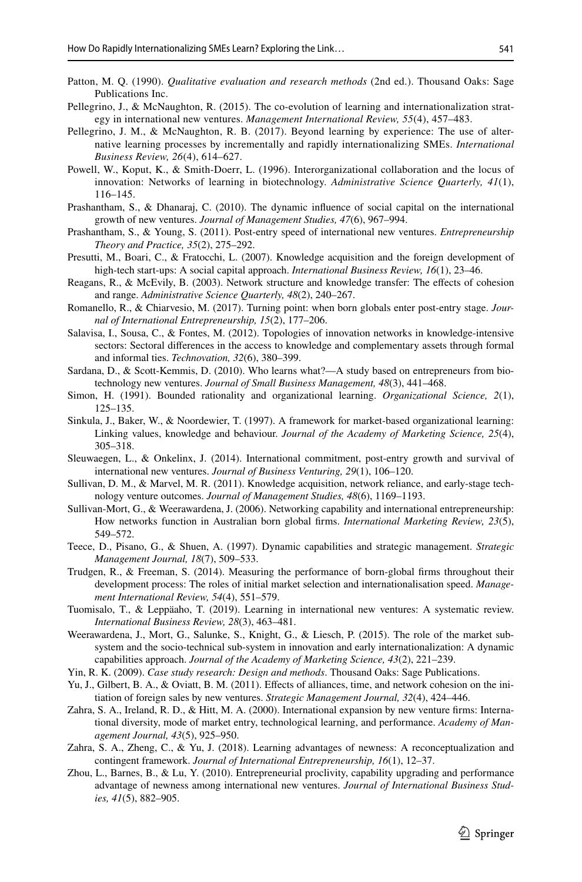- <span id="page-28-19"></span>Patton, M. Q. (1990). *Qualitative evaluation and research methods* (2nd ed.). Thousand Oaks: Sage Publications Inc.
- <span id="page-28-10"></span>Pellegrino, J., & McNaughton, R. (2015). The co-evolution of learning and internationalization strategy in international new ventures. *Management International Review, 55*(4), 457–483.
- <span id="page-28-7"></span>Pellegrino, J. M., & McNaughton, R. B. (2017). Beyond learning by experience: The use of alternative learning processes by incrementally and rapidly internationalizing SMEs. *International Business Review, 26*(4), 614–627.
- <span id="page-28-2"></span>Powell, W., Koput, K., & Smith-Doerr, L. (1996). Interorganizational collaboration and the locus of innovation: Networks of learning in biotechnology. *Administrative Science Quarterly, 41*(1), 116–145.
- <span id="page-28-17"></span>Prashantham, S., & Dhanaraj, C. (2010). The dynamic infuence of social capital on the international growth of new ventures. *Journal of Management Studies, 47*(6), 967–994.
- <span id="page-28-23"></span>Prashantham, S., & Young, S. (2011). Post-entry speed of international new ventures. *Entrepreneurship Theory and Practice, 35*(2), 275–292.
- <span id="page-28-14"></span>Presutti, M., Boari, C., & Fratocchi, L. (2007). Knowledge acquisition and the foreign development of high-tech start-ups: A social capital approach. *International Business Review, 16*(1), 23–46.
- <span id="page-28-16"></span>Reagans, R., & McEvily, B. (2003). Network structure and knowledge transfer: The effects of cohesion and range. *Administrative Science Quarterly, 48*(2), 240–267.
- <span id="page-28-12"></span>Romanello, R., & Chiarvesio, M. (2017). Turning point: when born globals enter post-entry stage. *Journal of International Entrepreneurship, 15*(2), 177–206.
- <span id="page-28-18"></span>Salavisa, I., Sousa, C., & Fontes, M. (2012). Topologies of innovation networks in knowledge-intensive sectors: Sectoral diferences in the access to knowledge and complementary assets through formal and informal ties. *Technovation, 32*(6), 380–399.
- <span id="page-28-22"></span>Sardana, D., & Scott-Kemmis, D. (2010). Who learns what?—A study based on entrepreneurs from biotechnology new ventures. *Journal of Small Business Management, 48*(3), 441–468.
- <span id="page-28-24"></span>Simon, H. (1991). Bounded rationality and organizational learning. *Organizational Science, 2*(1), 125–135.
- <span id="page-28-8"></span>Sinkula, J., Baker, W., & Noordewier, T. (1997). A framework for market-based organizational learning: Linking values, knowledge and behaviour. *Journal of the Academy of Marketing Science, 25*(4), 305–318.
- <span id="page-28-4"></span>Sleuwaegen, L., & Onkelinx, J. (2014). International commitment, post-entry growth and survival of international new ventures. *Journal of Business Venturing, 29*(1), 106–120.
- <span id="page-28-6"></span>Sullivan, D. M., & Marvel, M. R. (2011). Knowledge acquisition, network reliance, and early-stage technology venture outcomes. *Journal of Management Studies, 48*(6), 1169–1193.
- <span id="page-28-1"></span>Sullivan-Mort, G., & Weerawardena, J. (2006). Networking capability and international entrepreneurship: How networks function in Australian born global frms. *International Marketing Review, 23*(5), 549–572.
- <span id="page-28-11"></span>Teece, D., Pisano, G., & Shuen, A. (1997). Dynamic capabilities and strategic management. *Strategic Management Journal, 18*(7), 509–533.
- <span id="page-28-0"></span>Trudgen, R., & Freeman, S. (2014). Measuring the performance of born-global frms throughout their development process: The roles of initial market selection and internationalisation speed. *Management International Review, 54*(4), 551–579.
- <span id="page-28-3"></span>Tuomisalo, T., & Leppäaho, T. (2019). Learning in international new ventures: A systematic review. *International Business Review, 28*(3), 463–481.
- <span id="page-28-13"></span>Weerawardena, J., Mort, G., Salunke, S., Knight, G., & Liesch, P. (2015). The role of the market subsystem and the socio-technical sub-system in innovation and early internationalization: A dynamic capabilities approach. *Journal of the Academy of Marketing Science, 43*(2), 221–239.
- <span id="page-28-20"></span>Yin, R. K. (2009). *Case study research: Design and methods*. Thousand Oaks: Sage Publications.
- <span id="page-28-15"></span>Yu, J., Gilbert, B. A., & Oviatt, B. M. (2011). Efects of alliances, time, and network cohesion on the initiation of foreign sales by new ventures. *Strategic Management Journal, 32*(4), 424–446.
- <span id="page-28-5"></span>Zahra, S. A., Ireland, R. D., & Hitt, M. A. (2000). International expansion by new venture frms: International diversity, mode of market entry, technological learning, and performance. *Academy of Management Journal, 43*(5), 925–950.
- <span id="page-28-21"></span>Zahra, S. A., Zheng, C., & Yu, J. (2018). Learning advantages of newness: A reconceptualization and contingent framework. *Journal of International Entrepreneurship, 16*(1), 12–37.
- <span id="page-28-9"></span>Zhou, L., Barnes, B., & Lu, Y. (2010). Entrepreneurial proclivity, capability upgrading and performance advantage of newness among international new ventures. *Journal of International Business Studies, 41*(5), 882–905.